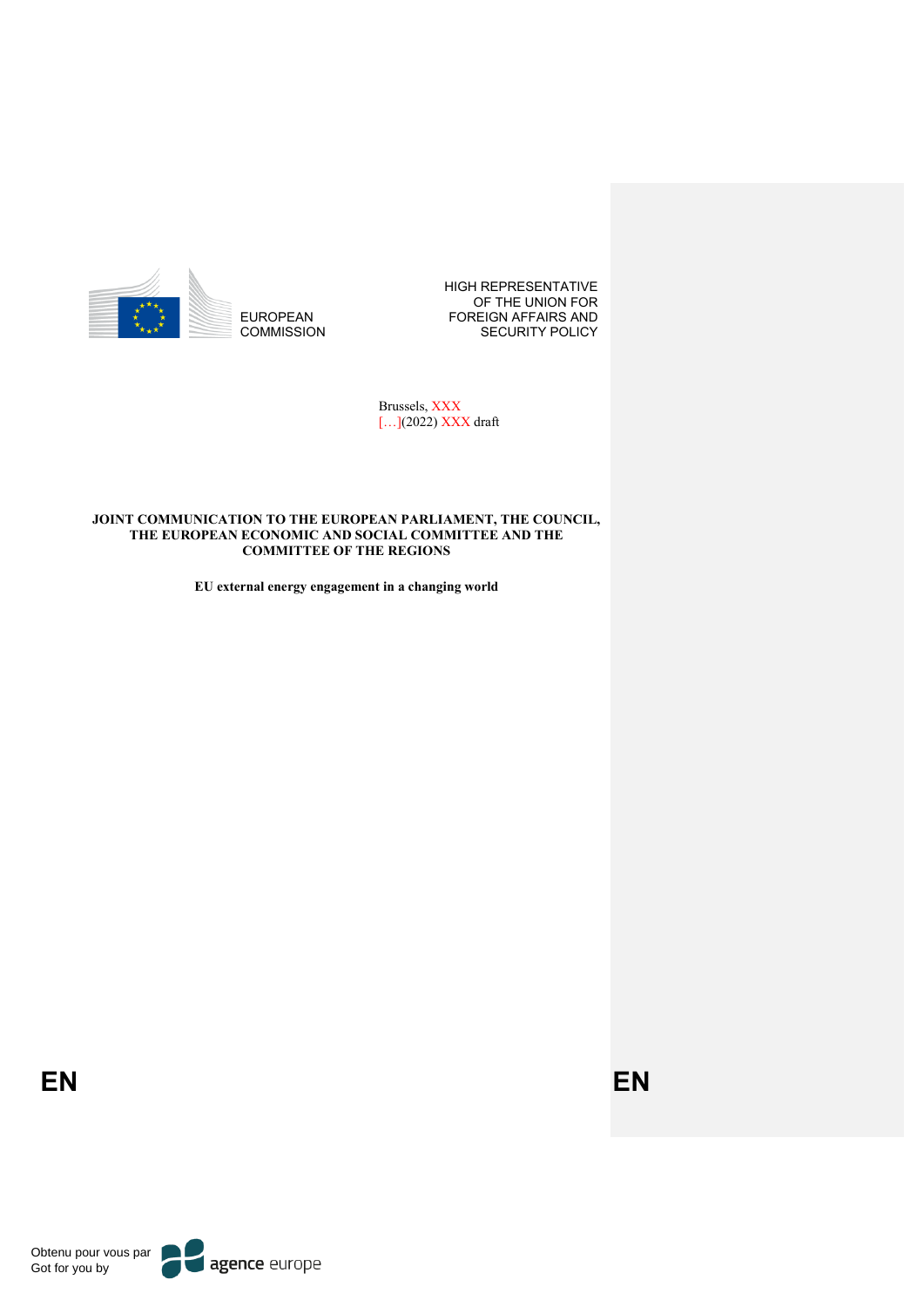

HIGH REPRESENTATIVE OF THE UNION FOR FOREIGN AFFAIRS AND SECURITY POLICY

Brussels, XXX [...](2022) XXX draft

#### **JOINT COMMUNICATION TO THE EUROPEAN PARLIAMENT, THE COUNCIL, THE EUROPEAN ECONOMIC AND SOCIAL COMMITTEE AND THE COMMITTEE OF THE REGIONS**

**EU external energy engagement in a changing world**

**EN EN**

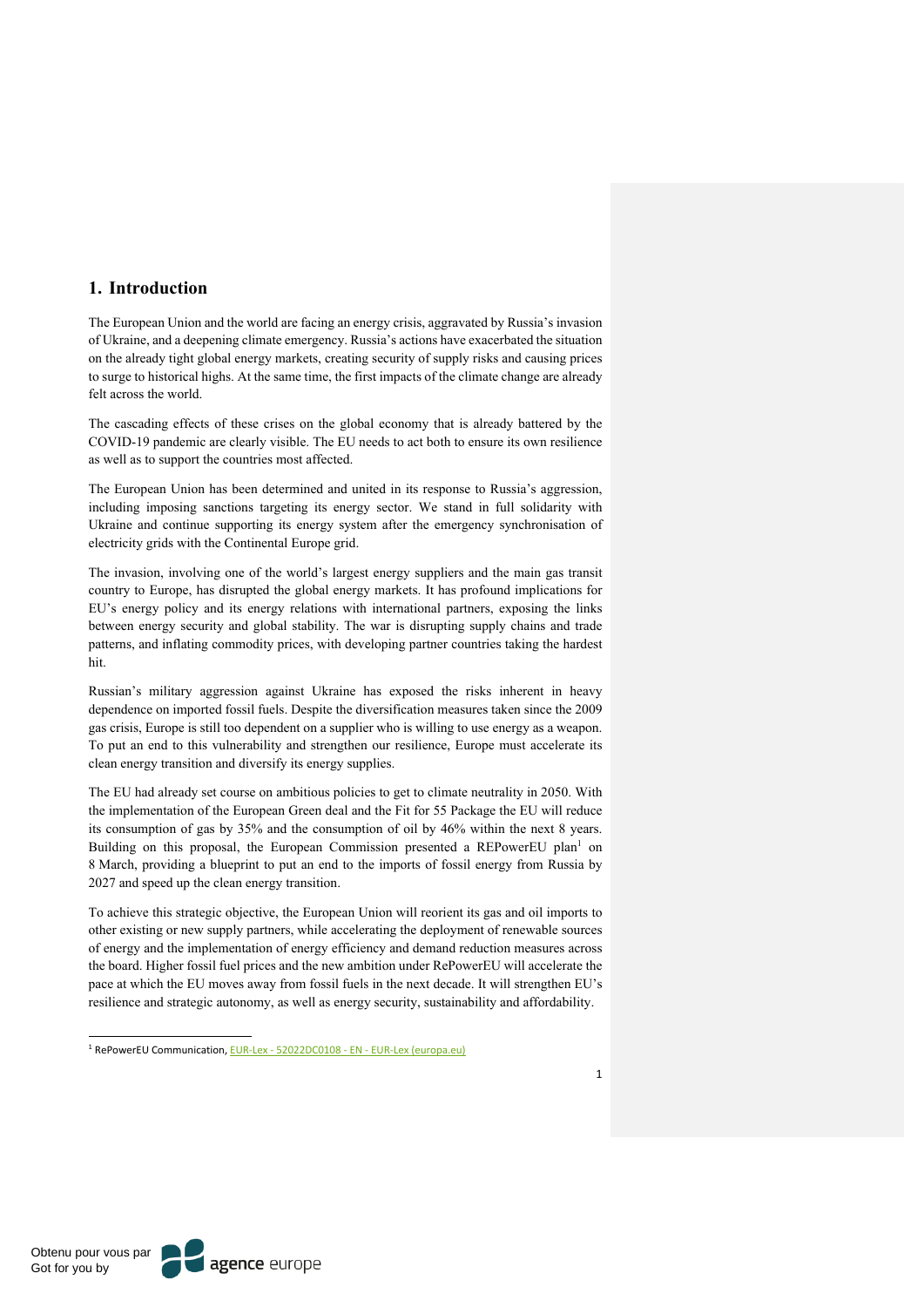### **1. Introduction**

The European Union and the world are facing an energy crisis, aggravated by Russia's invasion of Ukraine, and a deepening climate emergency. Russia's actions have exacerbated the situation on the already tight global energy markets, creating security of supply risks and causing prices to surge to historical highs. At the same time, the first impacts of the climate change are already felt across the world.

The cascading effects of these crises on the global economy that is already battered by the COVID-19 pandemic are clearly visible. The EU needs to act both to ensure its own resilience as well as to support the countries most affected.

The European Union has been determined and united in its response to Russia's aggression, including imposing sanctions targeting its energy sector. We stand in full solidarity with Ukraine and continue supporting its energy system after the emergency synchronisation of electricity grids with the Continental Europe grid.

The invasion, involving one of the world's largest energy suppliers and the main gas transit country to Europe, has disrupted the global energy markets. It has profound implications for EU's energy policy and its energy relations with international partners, exposing the links between energy security and global stability. The war is disrupting supply chains and trade patterns, and inflating commodity prices, with developing partner countries taking the hardest hit.

Russian's military aggression against Ukraine has exposed the risks inherent in heavy dependence on imported fossil fuels. Despite the diversification measures taken since the 2009 gas crisis, Europe is still too dependent on a supplier who is willing to use energy as a weapon. To put an end to this vulnerability and strengthen our resilience, Europe must accelerate its clean energy transition and diversify its energy supplies.

The EU had already set course on ambitious policies to get to climate neutrality in 2050. With the implementation of the European Green deal and the Fit for 55 Package the EU will reduce its consumption of gas by 35% and the consumption of oil by 46% within the next 8 years. Building on this proposal, the European Commission presented a REPowerEU plan<sup>1</sup> on 8 March, providing a blueprint to put an end to the imports of fossil energy from Russia by 2027 and speed up the clean energy transition.

To achieve this strategic objective, the European Union will reorient its gas and oil imports to other existing or new supply partners, while accelerating the deployment of renewable sources of energy and the implementation of energy efficiency and demand reduction measures across the board. Higher fossil fuel prices and the new ambition under RePowerEU will accelerate the pace at which the EU moves away from fossil fuels in the next decade. It will strengthen EU's resilience and strategic autonomy, as well as energy security, sustainability and affordability.

<sup>1</sup> RePowerEU Communication, EUR-Lex - 52022DC0108 - EN - EUR-Lex (europa.eu)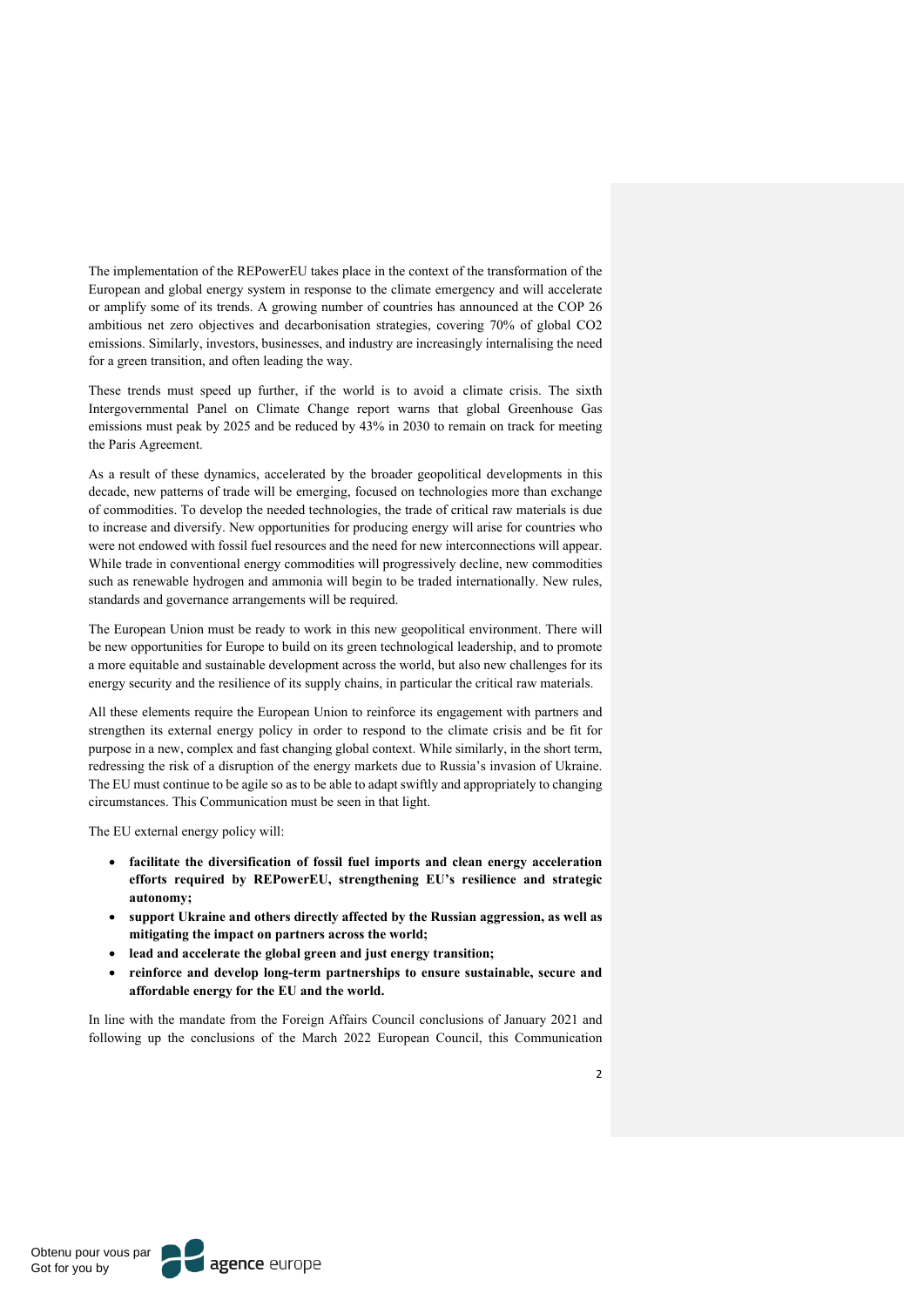The implementation of the REPowerEU takes place in the context of the transformation of the European and global energy system in response to the climate emergency and will accelerate or amplify some of its trends. A growing number of countries has announced at the COP 26 ambitious net zero objectives and decarbonisation strategies, covering 70% of global CO2 emissions. Similarly, investors, businesses, and industry are increasingly internalising the need for a green transition, and often leading the way.

These trends must speed up further, if the world is to avoid a climate crisis. The sixth Intergovernmental Panel on Climate Change report warns that global Greenhouse Gas emissions must peak by 2025 and be reduced by 43% in 2030 to remain on track for meeting the Paris Agreement.

As a result of these dynamics, accelerated by the broader geopolitical developments in this decade, new patterns of trade will be emerging, focused on technologies more than exchange of commodities. To develop the needed technologies, the trade of critical raw materials is due to increase and diversify. New opportunities for producing energy will arise for countries who were not endowed with fossil fuel resources and the need for new interconnections will appear. While trade in conventional energy commodities will progressively decline, new commodities such as renewable hydrogen and ammonia will begin to be traded internationally. New rules, standards and governance arrangements will be required.

The European Union must be ready to work in this new geopolitical environment. There will be new opportunities for Europe to build on its green technological leadership, and to promote a more equitable and sustainable development across the world, but also new challenges for its energy security and the resilience of its supply chains, in particular the critical raw materials.

All these elements require the European Union to reinforce its engagement with partners and strengthen its external energy policy in order to respond to the climate crisis and be fit for purpose in a new, complex and fast changing global context. While similarly, in the short term, redressing the risk of a disruption of the energy markets due to Russia's invasion of Ukraine. The EU must continue to be agile so as to be able to adapt swiftly and appropriately to changing circumstances. This Communication must be seen in that light.

The EU external energy policy will:

- **facilitate the diversification of fossil fuel imports and clean energy acceleration efforts required by REPowerEU, strengthening EU's resilience and strategic autonomy;**
- **support Ukraine and others directly affected by the Russian aggression, as well as mitigating the impact on partners across the world;**
- **lead and accelerate the global green and just energy transition;**
- **reinforce and develop long-term partnerships to ensure sustainable, secure and affordable energy for the EU and the world.**

In line with the mandate from the Foreign Affairs Council conclusions of January 2021 and following up the conclusions of the March 2022 European Council, this Communication

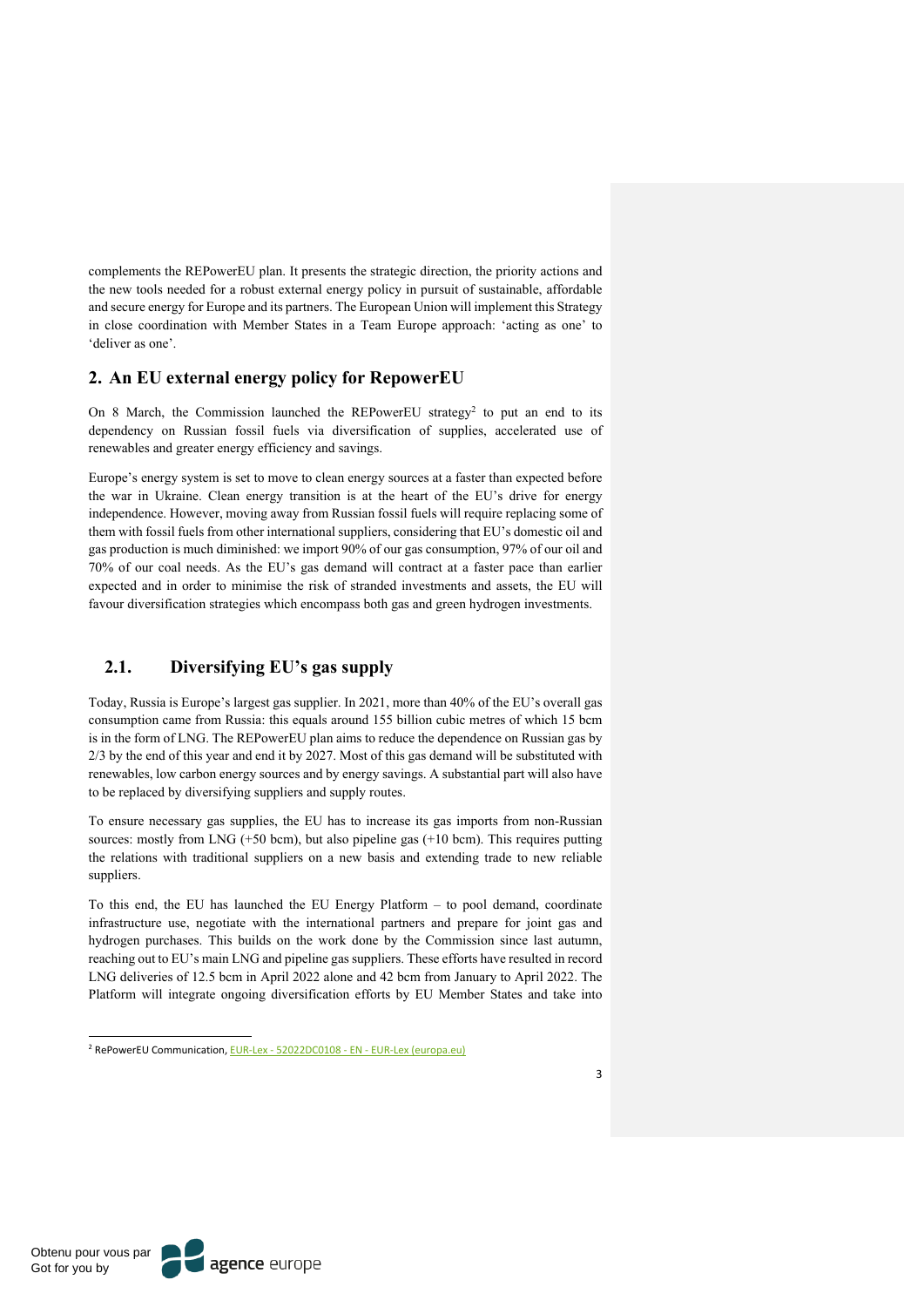complements the REPowerEU plan. It presents the strategic direction, the priority actions and the new tools needed for a robust external energy policy in pursuit of sustainable, affordable and secure energy for Europe and its partners. The European Union will implement this Strategy in close coordination with Member States in a Team Europe approach: 'acting as one' to 'deliver as one'.

### **2. An EU external energy policy for RepowerEU**

On 8 March, the Commission launched the REPowerEU strategy<sup>2</sup> to put an end to its dependency on Russian fossil fuels via diversification of supplies, accelerated use of renewables and greater energy efficiency and savings.

Europe's energy system is set to move to clean energy sources at a faster than expected before the war in Ukraine. Clean energy transition is at the heart of the EU's drive for energy independence. However, moving away from Russian fossil fuels will require replacing some of them with fossil fuels from other international suppliers, considering that EU's domestic oil and gas production is much diminished: we import 90% of our gas consumption, 97% of our oil and 70% of our coal needs. As the EU's gas demand will contract at a faster pace than earlier expected and in order to minimise the risk of stranded investments and assets, the EU will favour diversification strategies which encompass both gas and green hydrogen investments.

### **2.1. Diversifying EU's gas supply**

Today, Russia is Europe's largest gas supplier. In 2021, more than 40% of the EU's overall gas consumption came from Russia: this equals around 155 billion cubic metres of which 15 bcm is in the form of LNG. The REPowerEU plan aims to reduce the dependence on Russian gas by 2/3 by the end of this year and end it by 2027. Most of this gas demand will be substituted with renewables, low carbon energy sources and by energy savings. A substantial part will also have to be replaced by diversifying suppliers and supply routes.

To ensure necessary gas supplies, the EU has to increase its gas imports from non-Russian sources: mostly from LNG (+50 bcm), but also pipeline gas (+10 bcm). This requires putting the relations with traditional suppliers on a new basis and extending trade to new reliable suppliers.

To this end, the EU has launched the EU Energy Platform – to pool demand, coordinate infrastructure use, negotiate with the international partners and prepare for joint gas and hydrogen purchases. This builds on the work done by the Commission since last autumn, reaching out to EU's main LNG and pipeline gas suppliers. These efforts have resulted in record LNG deliveries of 12.5 bcm in April 2022 alone and 42 bcm from January to April 2022. The Platform will integrate ongoing diversification efforts by EU Member States and take into

<sup>2</sup> RePowerEU Communication, EUR-Lex - 52022DC0108 - EN - EUR-Lex (europa.eu)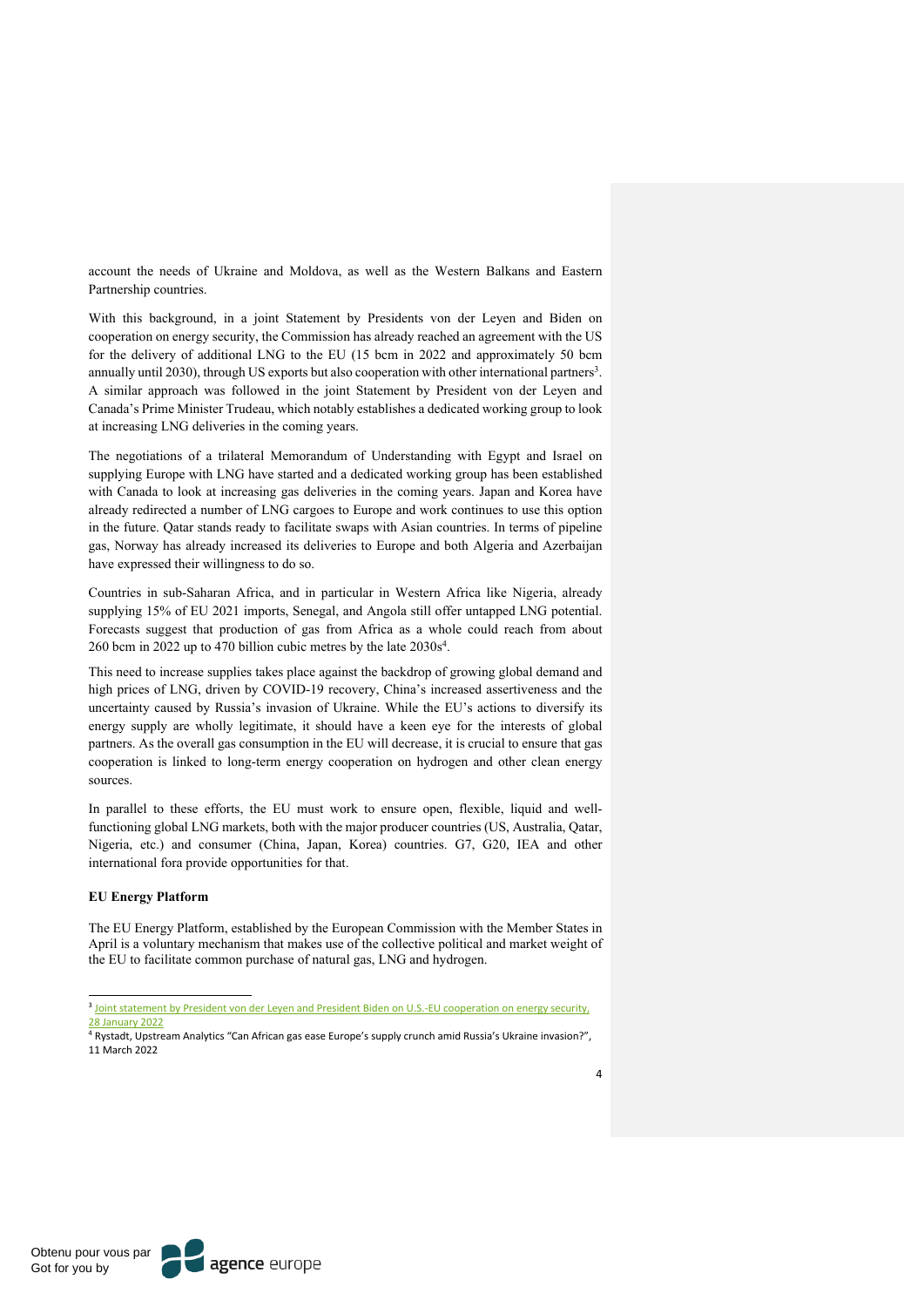account the needs of Ukraine and Moldova, as well as the Western Balkans and Eastern Partnership countries.

With this background, in a joint Statement by Presidents von der Leyen and Biden on cooperation on energy security, the Commission has already reached an agreement with the US for the delivery of additional LNG to the EU (15 bcm in 2022 and approximately 50 bcm annually until 2030), through US exports but also cooperation with other international partners<sup>3</sup>. A similar approach was followed in the joint Statement by President von der Leyen and Canada's Prime Minister Trudeau, which notably establishes a dedicated working group to look at increasing LNG deliveries in the coming years.

The negotiations of a trilateral Memorandum of Understanding with Egypt and Israel on supplying Europe with LNG have started and a dedicated working group has been established with Canada to look at increasing gas deliveries in the coming years. Japan and Korea have already redirected a number of LNG cargoes to Europe and work continues to use this option in the future. Qatar stands ready to facilitate swaps with Asian countries. In terms of pipeline gas, Norway has already increased its deliveries to Europe and both Algeria and Azerbaijan have expressed their willingness to do so.

Countries in sub-Saharan Africa, and in particular in Western Africa like Nigeria, already supplying 15% of EU 2021 imports, Senegal, and Angola still offer untapped LNG potential. Forecasts suggest that production of gas from Africa as a whole could reach from about 260 bcm in 2022 up to 470 billion cubic metres by the late 2030s4.

This need to increase supplies takes place against the backdrop of growing global demand and high prices of LNG, driven by COVID-19 recovery, China's increased assertiveness and the uncertainty caused by Russia's invasion of Ukraine. While the EU's actions to diversify its energy supply are wholly legitimate, it should have a keen eye for the interests of global partners. As the overall gas consumption in the EU will decrease, it is crucial to ensure that gas cooperation is linked to long-term energy cooperation on hydrogen and other clean energy sources.

In parallel to these efforts, the EU must work to ensure open, flexible, liquid and wellfunctioning global LNG markets, both with the major producer countries (US, Australia, Qatar, Nigeria, etc.) and consumer (China, Japan, Korea) countries. G7, G20, IEA and other international fora provide opportunities for that.

#### **EU Energy Platform**

The EU Energy Platform, established by the European Commission with the Member States in April is a voluntary mechanism that makes use of the collective political and market weight of the EU to facilitate common purchase of natural gas, LNG and hydrogen.

<sup>&</sup>lt;sup>3</sup> Joint statement by President von der Leyen and President Biden on U.S.-EU cooperation on energy security, 28 January 2022

<sup>4</sup> Rystadt, Upstream Analytics "Can African gas ease Europe's supply crunch amid Russia's Ukraine invasion?", 11 March 2022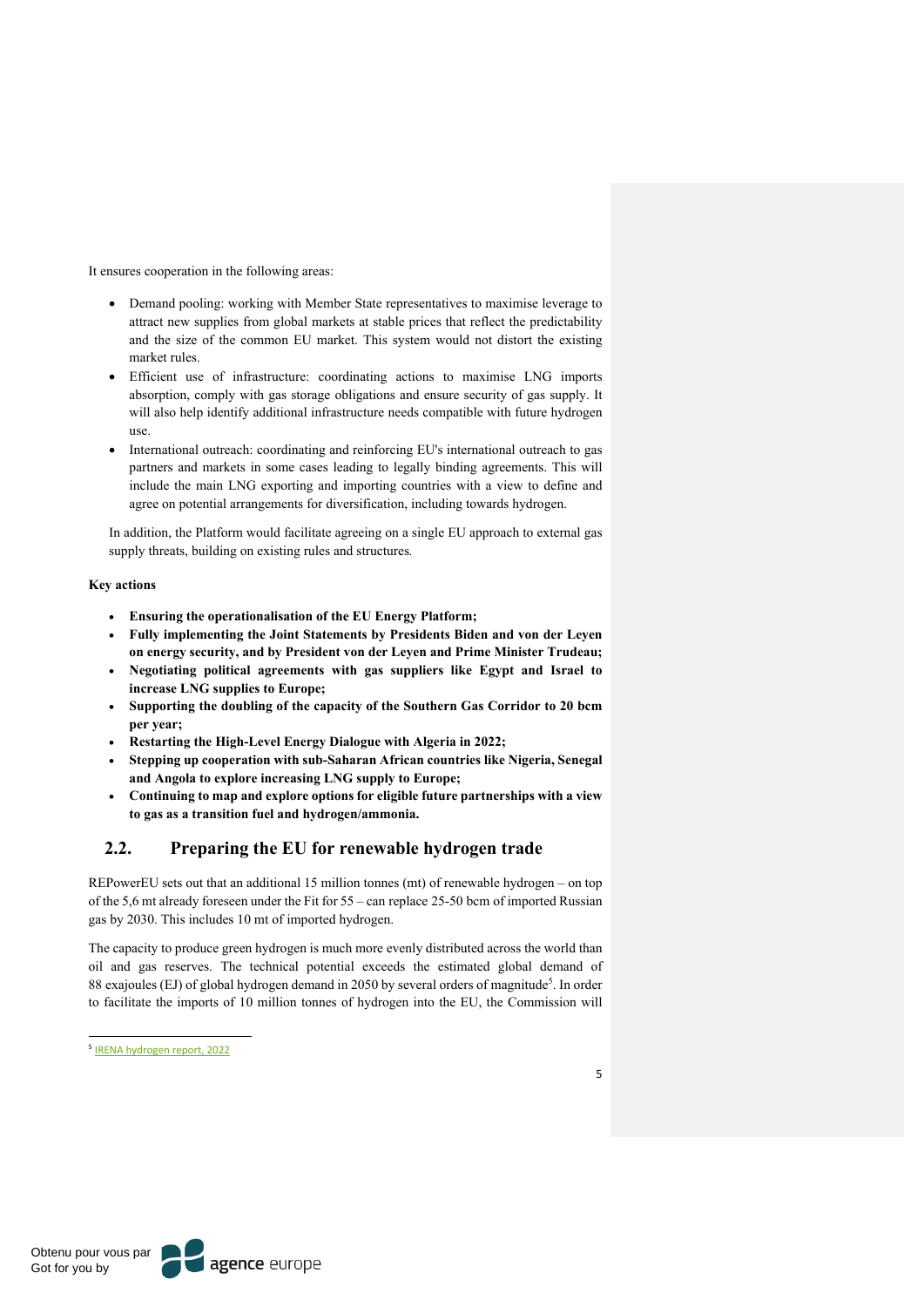It ensures cooperation in the following areas:

- Demand pooling: working with Member State representatives to maximise leverage to attract new supplies from global markets at stable prices that reflect the predictability and the size of the common EU market. This system would not distort the existing market rules.
- Efficient use of infrastructure: coordinating actions to maximise LNG imports absorption, comply with gas storage obligations and ensure security of gas supply. It will also help identify additional infrastructure needs compatible with future hydrogen use.
- International outreach: coordinating and reinforcing EU's international outreach to gas partners and markets in some cases leading to legally binding agreements. This will include the main LNG exporting and importing countries with a view to define and agree on potential arrangements for diversification, including towards hydrogen.

In addition, the Platform would facilitate agreeing on a single EU approach to external gas supply threats, building on existing rules and structures*.*

#### **Key actions**

- **Ensuring the operationalisation of the EU Energy Platform;**
- **Fully implementing the Joint Statements by Presidents Biden and von der Leyen on energy security, and by President von der Leyen and Prime Minister Trudeau;**
- **Negotiating political agreements with gas suppliers like Egypt and Israel to increase LNG supplies to Europe;**
- **Supporting the doubling of the capacity of the Southern Gas Corridor to 20 bcm per year;**
- **Restarting the High-Level Energy Dialogue with Algeria in 2022;**
- **Stepping up cooperation with sub-Saharan African countries like Nigeria, Senegal and Angola to explore increasing LNG supply to Europe;**
- **Continuing to map and explore options for eligible future partnerships with a view to gas as a transition fuel and hydrogen/ammonia.**

## **2.2. Preparing the EU for renewable hydrogen trade**

REPowerEU sets out that an additional 15 million tonnes (mt) of renewable hydrogen – on top of the 5,6 mt already foreseen under the Fit for 55 – can replace 25-50 bcm of imported Russian gas by 2030. This includes 10 mt of imported hydrogen.

The capacity to produce green hydrogen is much more evenly distributed across the world than oil and gas reserves. The technical potential exceeds the estimated global demand of 88 exajoules (EJ) of global hydrogen demand in 2050 by several orders of magnitude<sup>5</sup>. In order to facilitate the imports of 10 million tonnes of hydrogen into the EU, the Commission will

<sup>5</sup> IRENA hydrogen report, 2022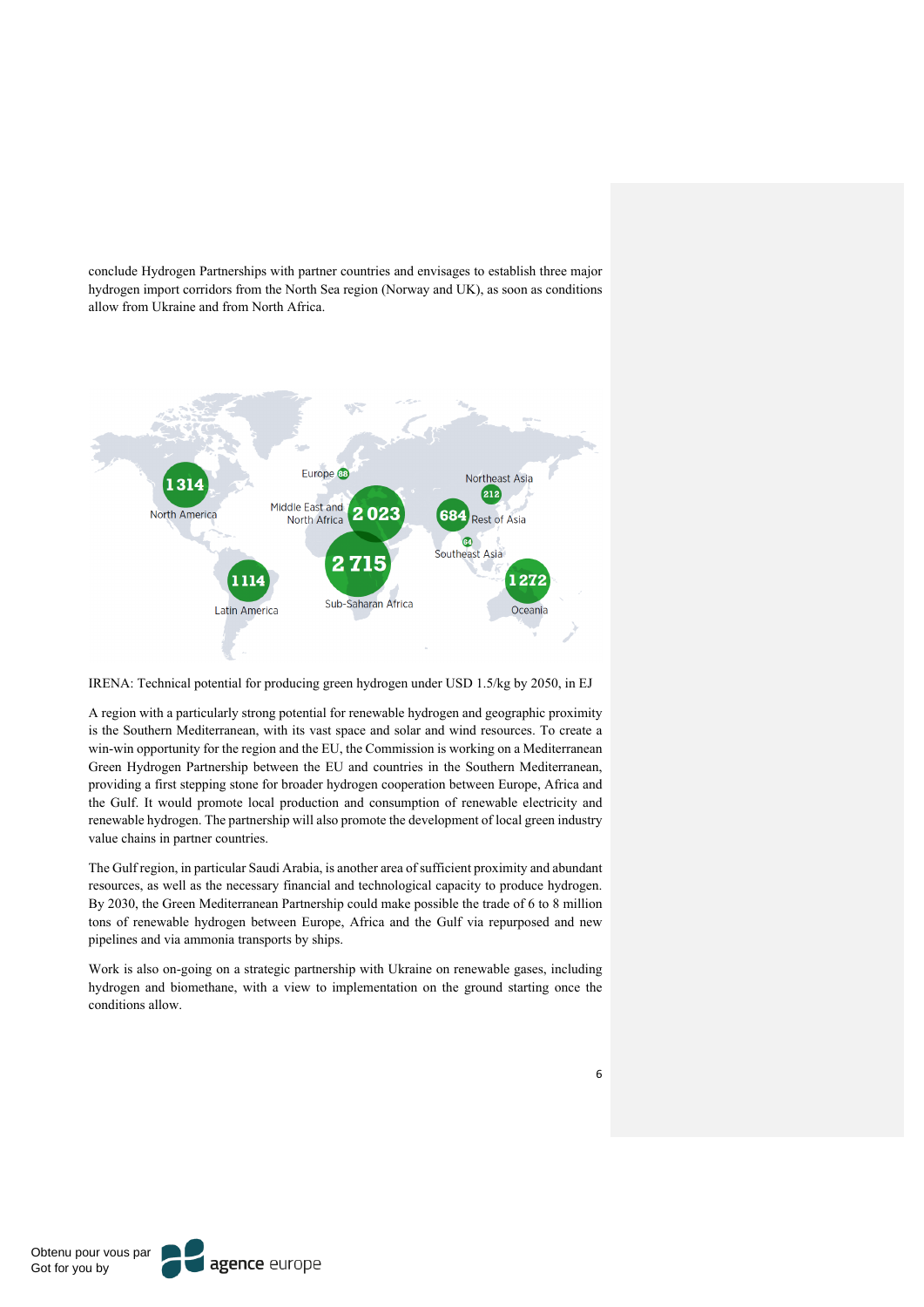conclude Hydrogen Partnerships with partner countries and envisages to establish three major hydrogen import corridors from the North Sea region (Norway and UK), as soon as conditions allow from Ukraine and from North Africa.



IRENA: Technical potential for producing green hydrogen under USD 1.5/kg by 2050, in EJ

A region with a particularly strong potential for renewable hydrogen and geographic proximity is the Southern Mediterranean, with its vast space and solar and wind resources. To create a win-win opportunity for the region and the EU, the Commission is working on a Mediterranean Green Hydrogen Partnership between the EU and countries in the Southern Mediterranean, providing a first stepping stone for broader hydrogen cooperation between Europe, Africa and the Gulf. It would promote local production and consumption of renewable electricity and renewable hydrogen. The partnership will also promote the development of local green industry value chains in partner countries.

The Gulf region, in particular Saudi Arabia, is another area of sufficient proximity and abundant resources, as well as the necessary financial and technological capacity to produce hydrogen. By 2030, the Green Mediterranean Partnership could make possible the trade of 6 to 8 million tons of renewable hydrogen between Europe, Africa and the Gulf via repurposed and new pipelines and via ammonia transports by ships.

Work is also on-going on a strategic partnership with Ukraine on renewable gases, including hydrogen and biomethane, with a view to implementation on the ground starting once the conditions allow.

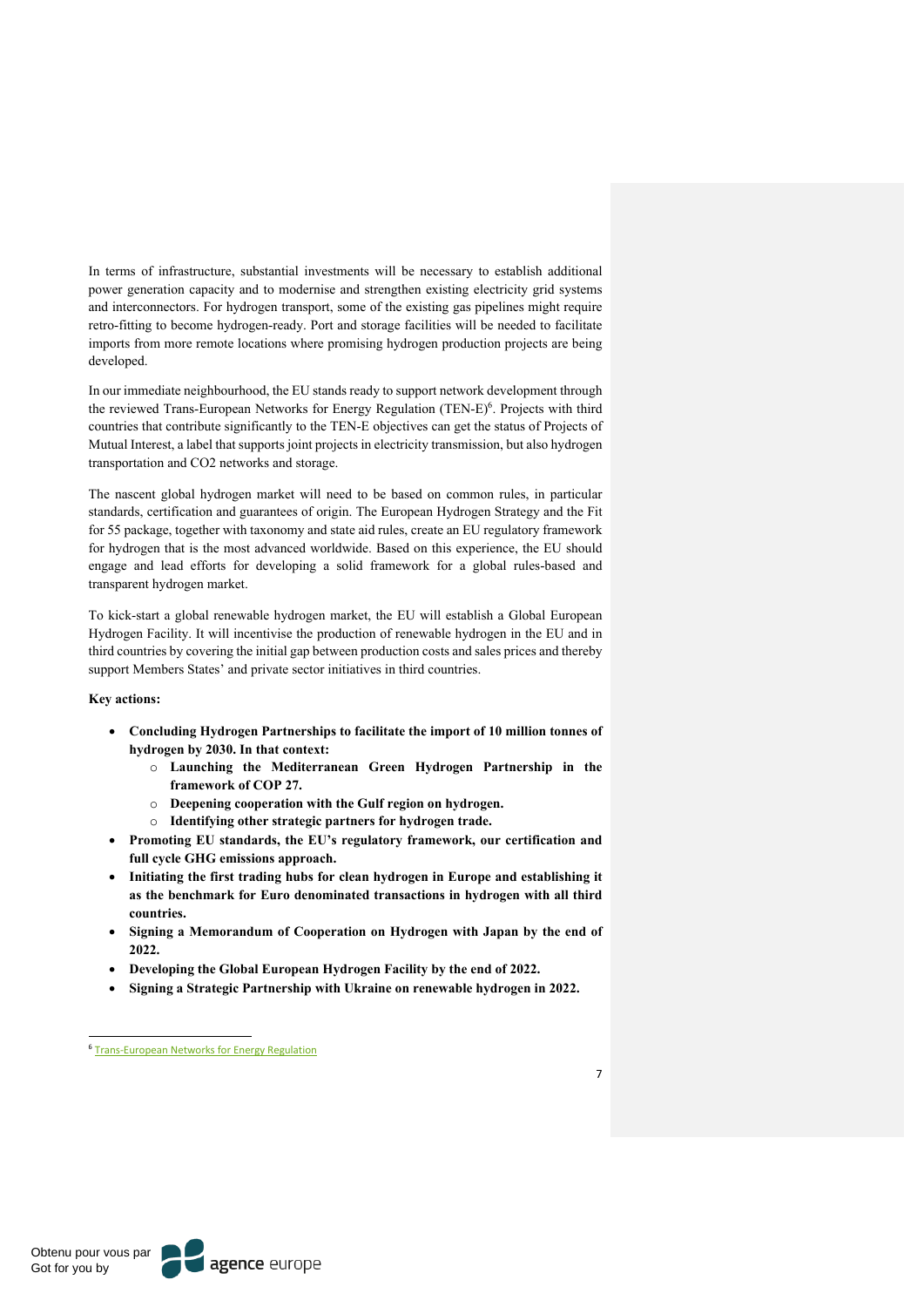In terms of infrastructure, substantial investments will be necessary to establish additional power generation capacity and to modernise and strengthen existing electricity grid systems and interconnectors. For hydrogen transport, some of the existing gas pipelines might require retro-fitting to become hydrogen-ready. Port and storage facilities will be needed to facilitate imports from more remote locations where promising hydrogen production projects are being developed.

In our immediate neighbourhood, the EU stands ready to support network development through the reviewed Trans-European Networks for Energy Regulation (TEN-E)<sup>6</sup>. Projects with third countries that contribute significantly to the TEN-E objectives can get the status of Projects of Mutual Interest, a label that supports joint projects in electricity transmission, but also hydrogen transportation and CO2 networks and storage.

The nascent global hydrogen market will need to be based on common rules, in particular standards, certification and guarantees of origin. The European Hydrogen Strategy and the Fit for 55 package, together with taxonomy and state aid rules, create an EU regulatory framework for hydrogen that is the most advanced worldwide. Based on this experience, the EU should engage and lead efforts for developing a solid framework for a global rules-based and transparent hydrogen market.

To kick-start a global renewable hydrogen market, the EU will establish a Global European Hydrogen Facility. It will incentivise the production of renewable hydrogen in the EU and in third countries by covering the initial gap between production costs and sales prices and thereby support Members States' and private sector initiatives in third countries.

#### **Key actions:**

- **Concluding Hydrogen Partnerships to facilitate the import of 10 million tonnes of hydrogen by 2030. In that context:**
	- o **Launching the Mediterranean Green Hydrogen Partnership in the framework of COP 27.**
	- o **Deepening cooperation with the Gulf region on hydrogen.**
	- o **Identifying other strategic partners for hydrogen trade.**
- **Promoting EU standards, the EU's regulatory framework, our certification and full cycle GHG emissions approach.**
- **Initiating the first trading hubs for clean hydrogen in Europe and establishing it as the benchmark for Euro denominated transactions in hydrogen with all third countries.**
- **Signing a Memorandum of Cooperation on Hydrogen with Japan by the end of 2022.**
- **Developing the Global European Hydrogen Facility by the end of 2022.**
- **Signing a Strategic Partnership with Ukraine on renewable hydrogen in 2022.**

<sup>6</sup> Trans-European Networks for Energy Regulation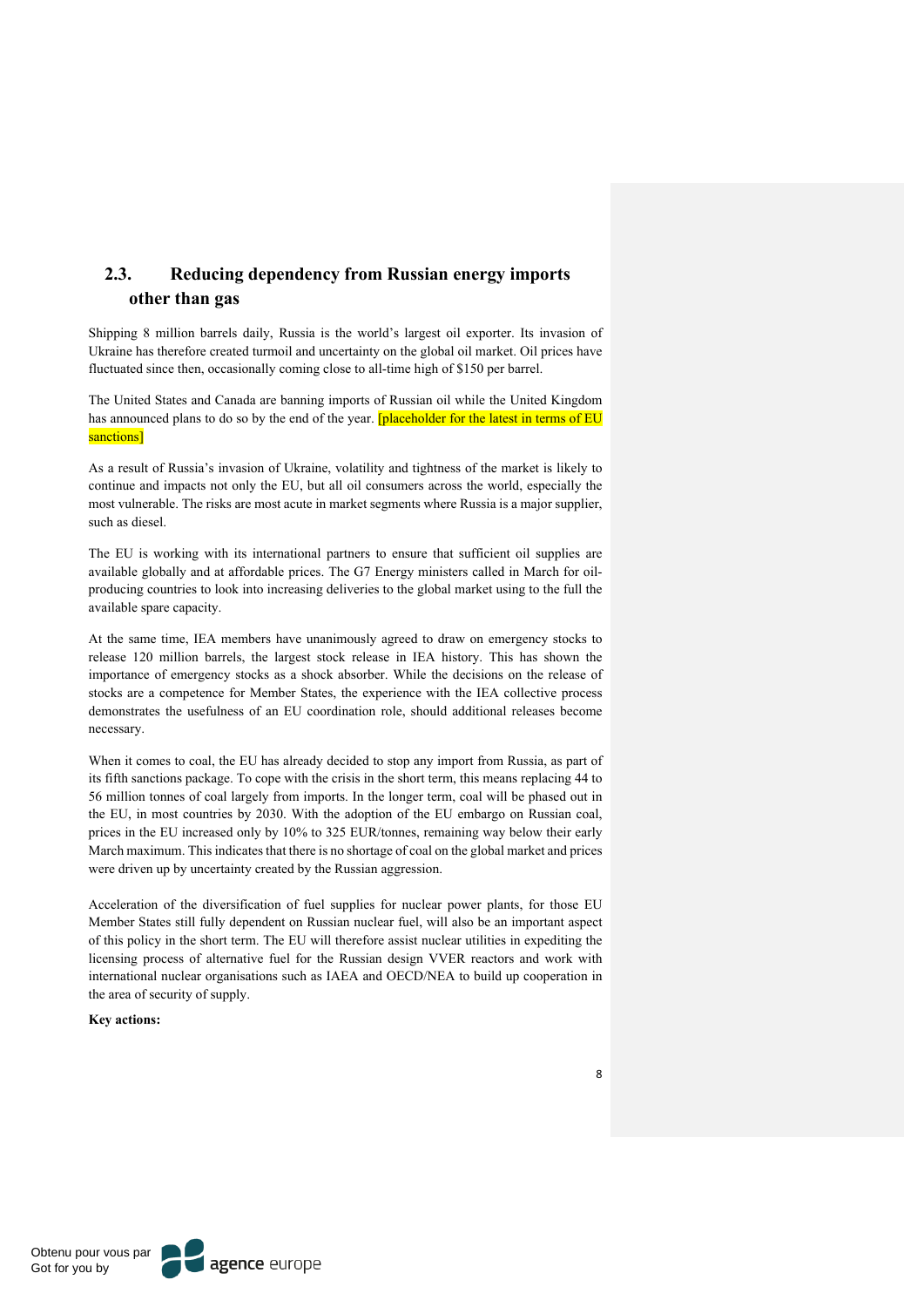## **2.3. Reducing dependency from Russian energy imports other than gas**

Shipping 8 million barrels daily, Russia is the world's largest oil exporter. Its invasion of Ukraine has therefore created turmoil and uncertainty on the global oil market. Oil prices have fluctuated since then, occasionally coming close to all-time high of \$150 per barrel.

The United States and Canada are banning imports of Russian oil while the United Kingdom has announced plans to do so by the end of the year. **[placeholder for the latest in terms of EU** sanctions]

As a result of Russia's invasion of Ukraine, volatility and tightness of the market is likely to continue and impacts not only the EU, but all oil consumers across the world, especially the most vulnerable. The risks are most acute in market segments where Russia is a major supplier, such as diesel.

The EU is working with its international partners to ensure that sufficient oil supplies are available globally and at affordable prices. The G7 Energy ministers called in March for oilproducing countries to look into increasing deliveries to the global market using to the full the available spare capacity.

At the same time, IEA members have unanimously agreed to draw on emergency stocks to release 120 million barrels, the largest stock release in IEA history. This has shown the importance of emergency stocks as a shock absorber. While the decisions on the release of stocks are a competence for Member States, the experience with the IEA collective process demonstrates the usefulness of an EU coordination role, should additional releases become necessary.

When it comes to coal, the EU has already decided to stop any import from Russia, as part of its fifth sanctions package. To cope with the crisis in the short term, this means replacing 44 to 56 million tonnes of coal largely from imports. In the longer term, coal will be phased out in the EU, in most countries by 2030. With the adoption of the EU embargo on Russian coal, prices in the EU increased only by 10% to 325 EUR/tonnes, remaining way below their early March maximum. This indicates that there is no shortage of coal on the global market and prices were driven up by uncertainty created by the Russian aggression.

Acceleration of the diversification of fuel supplies for nuclear power plants, for those EU Member States still fully dependent on Russian nuclear fuel, will also be an important aspect of this policy in the short term. The EU will therefore assist nuclear utilities in expediting the licensing process of alternative fuel for the Russian design VVER reactors and work with international nuclear organisations such as IAEA and OECD/NEA to build up cooperation in the area of security of supply.

**Key actions:** 

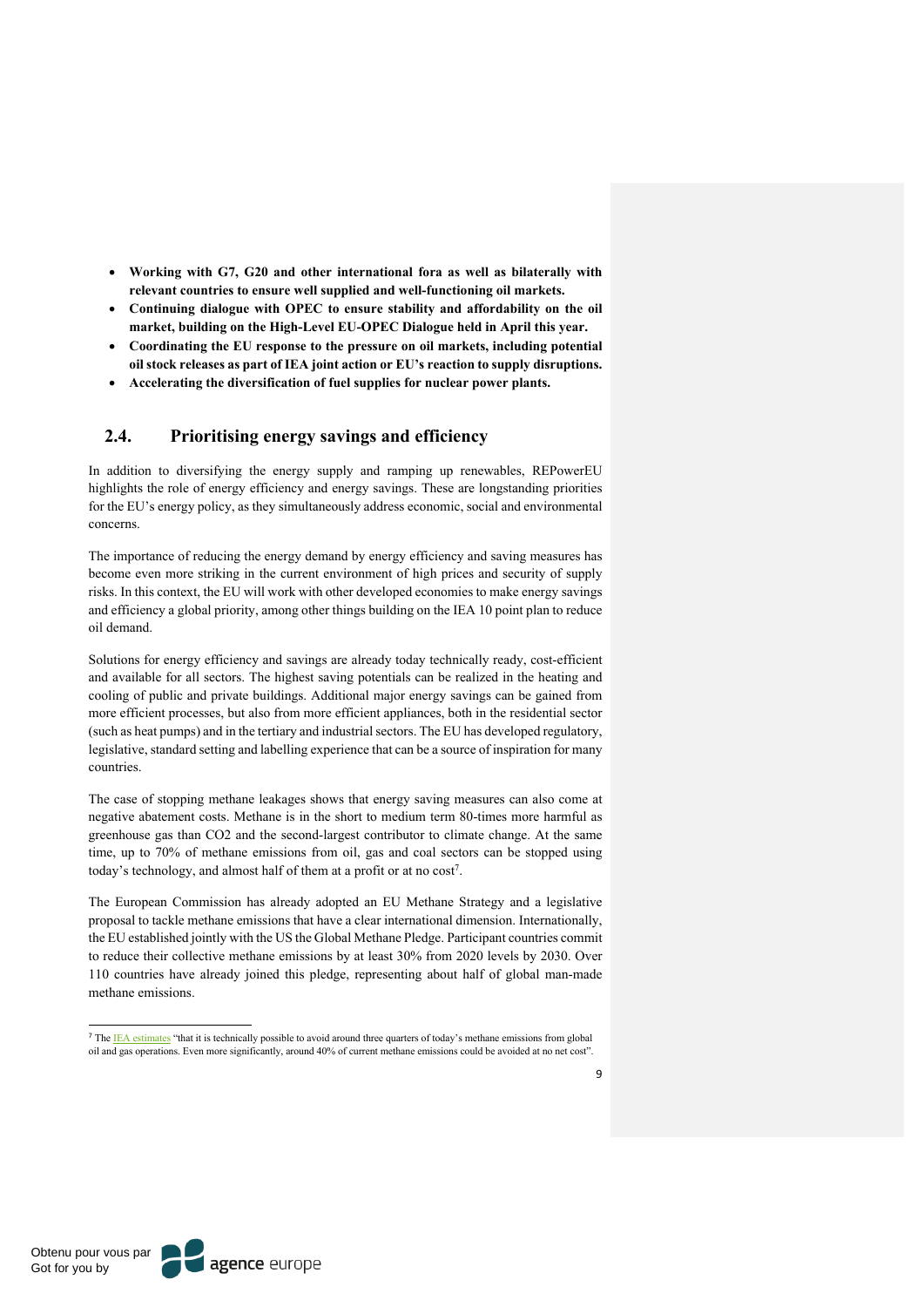- **Working with G7, G20 and other international fora as well as bilaterally with relevant countries to ensure well supplied and well-functioning oil markets.**
- **Continuing dialogue with OPEC to ensure stability and affordability on the oil market, building on the High-Level EU-OPEC Dialogue held in April this year.**
- **Coordinating the EU response to the pressure on oil markets, including potential oil stock releases as part of IEA joint action or EU's reaction to supply disruptions.**
- **Accelerating the diversification of fuel supplies for nuclear power plants.**

## **2.4. Prioritising energy savings and efficiency**

In addition to diversifying the energy supply and ramping up renewables, REPowerEU highlights the role of energy efficiency and energy savings. These are longstanding priorities for the EU's energy policy, as they simultaneously address economic, social and environmental concerns.

The importance of reducing the energy demand by energy efficiency and saving measures has become even more striking in the current environment of high prices and security of supply risks. In this context, the EU will work with other developed economies to make energy savings and efficiency a global priority, among other things building on the IEA 10 point plan to reduce oil demand.

Solutions for energy efficiency and savings are already today technically ready, cost-efficient and available for all sectors. The highest saving potentials can be realized in the heating and cooling of public and private buildings. Additional major energy savings can be gained from more efficient processes, but also from more efficient appliances, both in the residential sector (such as heat pumps) and in the tertiary and industrial sectors. The EU has developed regulatory, legislative, standard setting and labelling experience that can be a source of inspiration for many countries.

The case of stopping methane leakages shows that energy saving measures can also come at negative abatement costs. Methane is in the short to medium term 80-times more harmful as greenhouse gas than CO2 and the second-largest contributor to climate change. At the same time, up to 70% of methane emissions from oil, gas and coal sectors can be stopped using today's technology, and almost half of them at a profit or at no  $cost^7$ .

The European Commission has already adopted an EU Methane Strategy and a legislative proposal to tackle methane emissions that have a clear international dimension. Internationally, the EU established jointly with the US the Global Methane Pledge. Participant countries commit to reduce their collective methane emissions by at least 30% from 2020 levels by 2030. Over 110 countries have already joined this pledge, representing about half of global man-made methane emissions.

<sup>&</sup>lt;sup>7</sup> The IEA estimates "that it is technically possible to avoid around three quarters of today's methane emissions from global oil and gas operations. Even more significantly, around 40% of current methane emissions could be avoided at no net cost".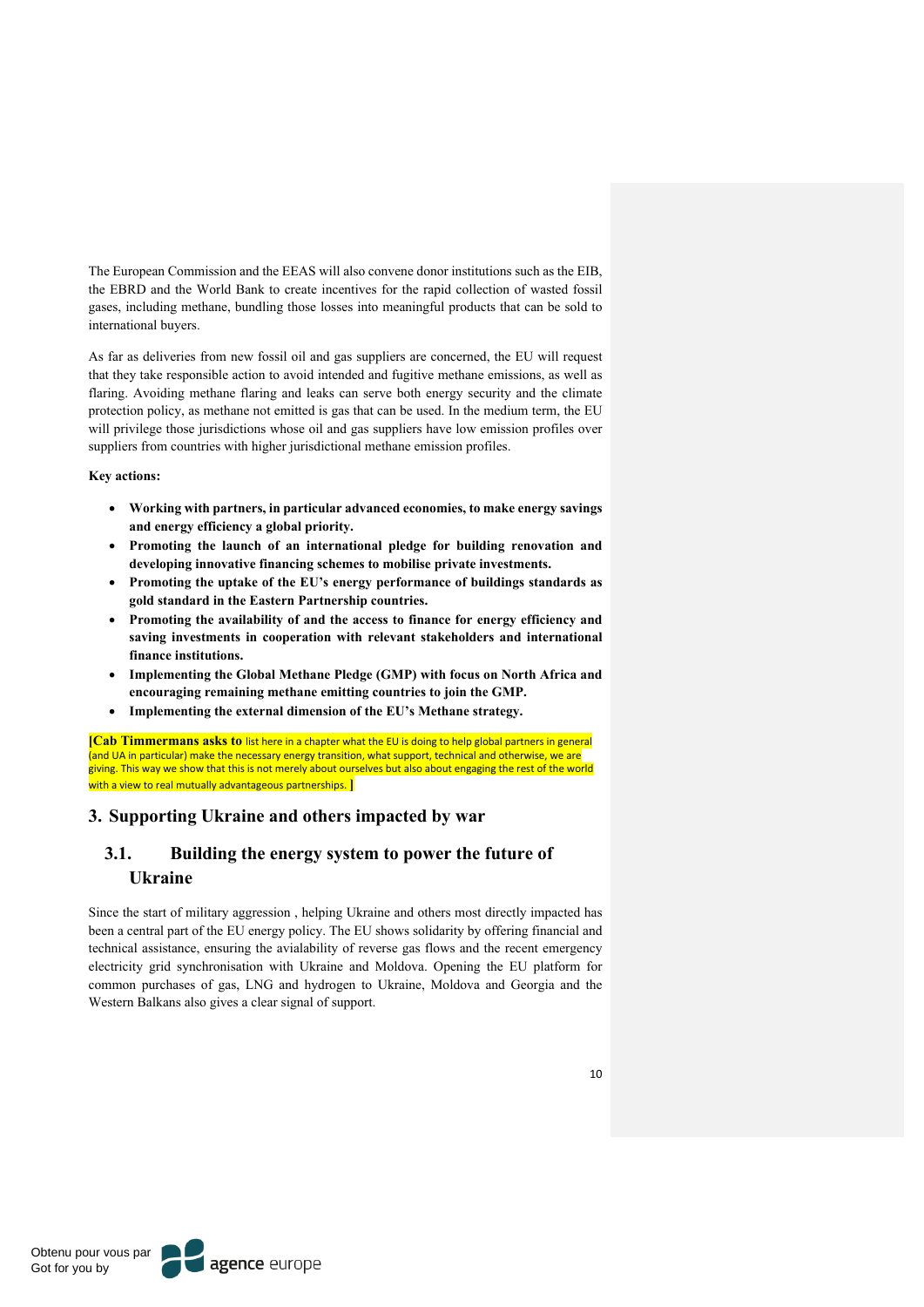The European Commission and the EEAS will also convene donor institutions such as the EIB, the EBRD and the World Bank to create incentives for the rapid collection of wasted fossil gases, including methane, bundling those losses into meaningful products that can be sold to international buyers.

As far as deliveries from new fossil oil and gas suppliers are concerned, the EU will request that they take responsible action to avoid intended and fugitive methane emissions, as well as flaring. Avoiding methane flaring and leaks can serve both energy security and the climate protection policy, as methane not emitted is gas that can be used. In the medium term, the EU will privilege those jurisdictions whose oil and gas suppliers have low emission profiles over suppliers from countries with higher jurisdictional methane emission profiles.

**Key actions:**

- **Working with partners, in particular advanced economies, to make energy savings and energy efficiency a global priority.**
- **Promoting the launch of an international pledge for building renovation and developing innovative financing schemes to mobilise private investments.**
- **Promoting the uptake of the EU's energy performance of buildings standards as gold standard in the Eastern Partnership countries.**
- **Promoting the availability of and the access to finance for energy efficiency and saving investments in cooperation with relevant stakeholders and international finance institutions.**
- **Implementing the Global Methane Pledge (GMP) with focus on North Africa and encouraging remaining methane emitting countries to join the GMP.**
- **Implementing the external dimension of the EU's Methane strategy.**

**[Cab Timmermans asks to** list here in a chapter what the EU is doing to help global partners in general (and UA in particular) make the necessary energy transition, what support, technical and otherwise, we are giving. This way we show that this is not merely about ourselves but also about engaging the rest of the world with a view to real mutually advantageous partnerships. **]**

## **3. Supporting Ukraine and others impacted by war**

# **3.1. Building the energy system to power the future of Ukraine**

Since the start of military aggression , helping Ukraine and others most directly impacted has been a central part of the EU energy policy. The EU shows solidarity by offering financial and technical assistance, ensuring the avialability of reverse gas flows and the recent emergency electricity grid synchronisation with Ukraine and Moldova. Opening the EU platform for common purchases of gas, LNG and hydrogen to Ukraine, Moldova and Georgia and the Western Balkans also gives a clear signal of support.

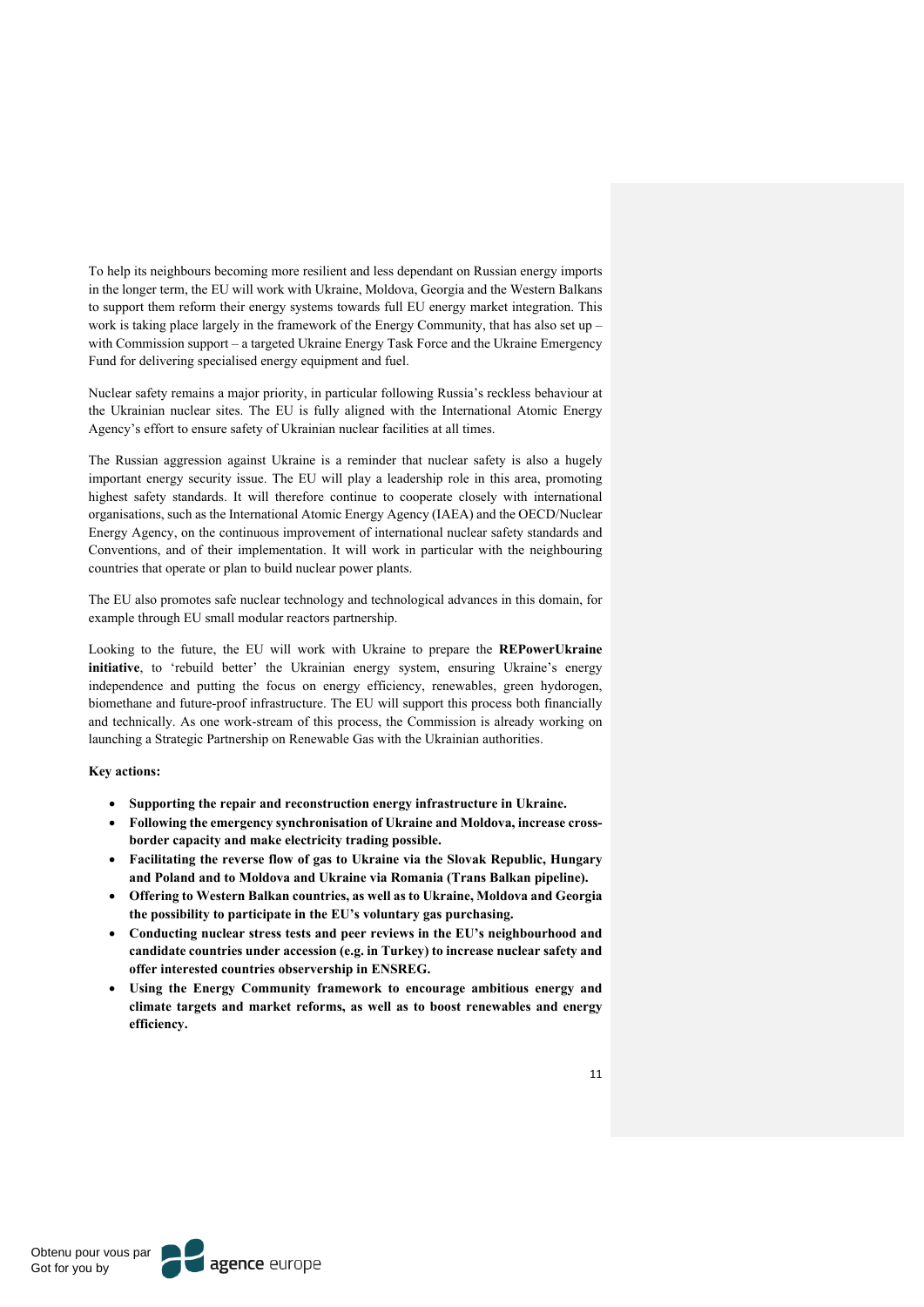To help its neighbours becoming more resilient and less dependant on Russian energy imports in the longer term, the EU will work with Ukraine, Moldova, Georgia and the Western Balkans to support them reform their energy systems towards full EU energy market integration. This work is taking place largely in the framework of the Energy Community, that has also set up – with Commission support – a targeted Ukraine Energy Task Force and the Ukraine Emergency Fund for delivering specialised energy equipment and fuel.

Nuclear safety remains a major priority, in particular following Russia's reckless behaviour at the Ukrainian nuclear sites. The EU is fully aligned with the International Atomic Energy Agency's effort to ensure safety of Ukrainian nuclear facilities at all times.

The Russian aggression against Ukraine is a reminder that nuclear safety is also a hugely important energy security issue. The EU will play a leadership role in this area, promoting highest safety standards. It will therefore continue to cooperate closely with international organisations, such as the International Atomic Energy Agency (IAEA) and the OECD/Nuclear Energy Agency, on the continuous improvement of international nuclear safety standards and Conventions, and of their implementation. It will work in particular with the neighbouring countries that operate or plan to build nuclear power plants.

The EU also promotes safe nuclear technology and technological advances in this domain, for example through EU small modular reactors partnership.

Looking to the future, the EU will work with Ukraine to prepare the **REPowerUkraine initiative**, to 'rebuild better' the Ukrainian energy system, ensuring Ukraine's energy independence and putting the focus on energy efficiency, renewables, green hydorogen, biomethane and future-proof infrastructure. The EU will support this process both financially and technically. As one work-stream of this process, the Commission is already working on launching a Strategic Partnership on Renewable Gas with the Ukrainian authorities.

**Key actions:** 

- **Supporting the repair and reconstruction energy infrastructure in Ukraine.**
- **Following the emergency synchronisation of Ukraine and Moldova, increase crossborder capacity and make electricity trading possible.**
- **Facilitating the reverse flow of gas to Ukraine via the Slovak Republic, Hungary and Poland and to Moldova and Ukraine via Romania (Trans Balkan pipeline).**
- **Offering to Western Balkan countries, as well as to Ukraine, Moldova and Georgia the possibility to participate in the EU's voluntary gas purchasing.**
- **Conducting nuclear stress tests and peer reviews in the EU's neighbourhood and candidate countries under accession (e.g. in Turkey) to increase nuclear safety and offer interested countries observership in ENSREG.**
- **Using the Energy Community framework to encourage ambitious energy and climate targets and market reforms, as well as to boost renewables and energy efficiency.**

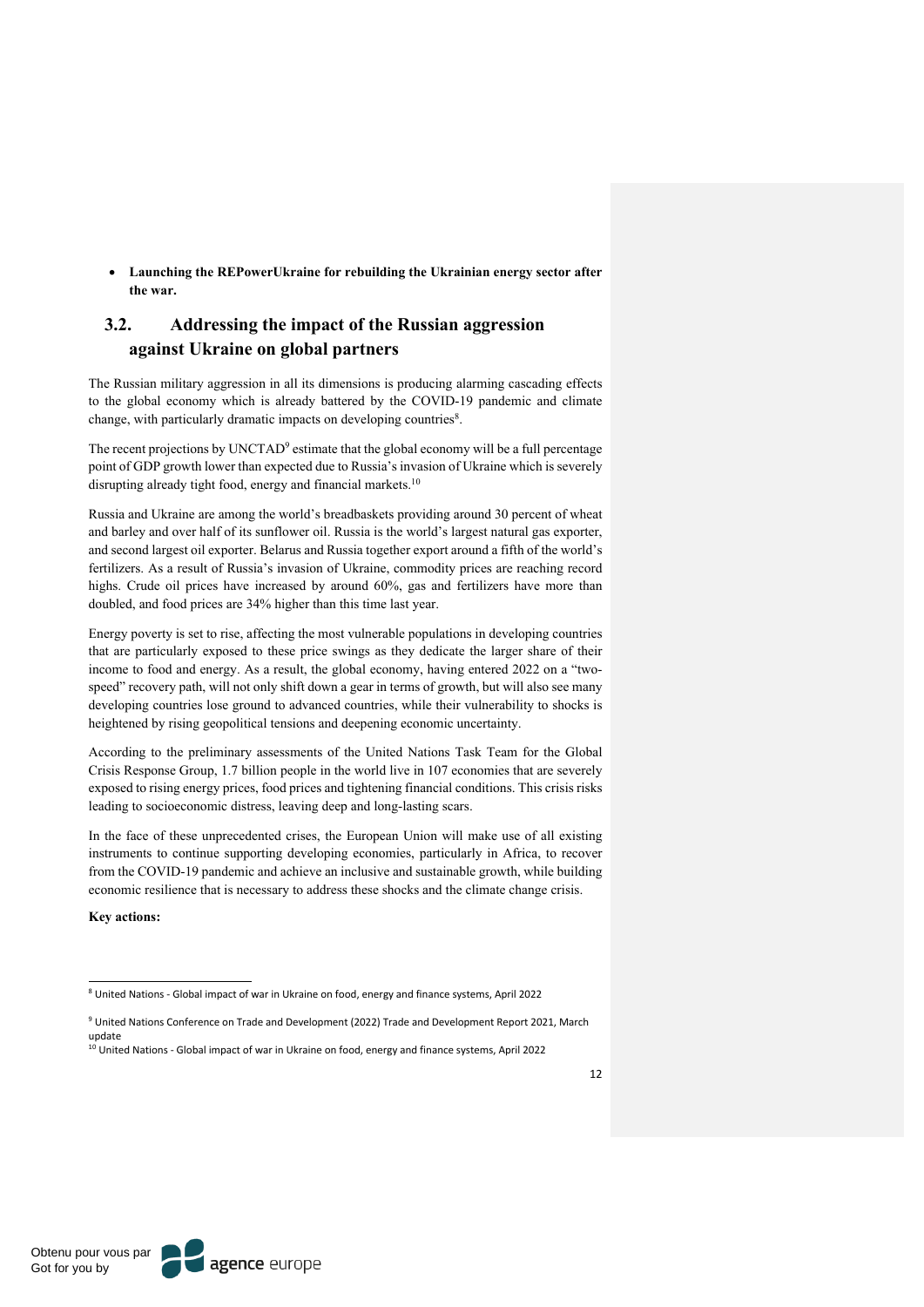• **Launching the REPowerUkraine for rebuilding the Ukrainian energy sector after the war.**

# **3.2. Addressing the impact of the Russian aggression against Ukraine on global partners**

The Russian military aggression in all its dimensions is producing alarming cascading effects to the global economy which is already battered by the COVID-19 pandemic and climate change, with particularly dramatic impacts on developing countries<sup>8</sup>.

The recent projections by UNCTAD<sup>9</sup> estimate that the global economy will be a full percentage point of GDP growth lower than expected due to Russia's invasion of Ukraine which is severely disrupting already tight food, energy and financial markets.<sup>10</sup>

Russia and Ukraine are among the world's breadbaskets providing around 30 percent of wheat and barley and over half of its sunflower oil. Russia is the world's largest natural gas exporter, and second largest oil exporter. Belarus and Russia together export around a fifth of the world's fertilizers. As a result of Russia's invasion of Ukraine, commodity prices are reaching record highs. Crude oil prices have increased by around 60%, gas and fertilizers have more than doubled, and food prices are 34% higher than this time last year.

Energy poverty is set to rise, affecting the most vulnerable populations in developing countries that are particularly exposed to these price swings as they dedicate the larger share of their income to food and energy. As a result, the global economy, having entered 2022 on a "twospeed" recovery path, will not only shift down a gear in terms of growth, but will also see many developing countries lose ground to advanced countries, while their vulnerability to shocks is heightened by rising geopolitical tensions and deepening economic uncertainty.

According to the preliminary assessments of the United Nations Task Team for the Global Crisis Response Group, 1.7 billion people in the world live in 107 economies that are severely exposed to rising energy prices, food prices and tightening financial conditions. This crisis risks leading to socioeconomic distress, leaving deep and long-lasting scars.

In the face of these unprecedented crises, the European Union will make use of all existing instruments to continue supporting developing economies, particularly in Africa, to recover from the COVID-19 pandemic and achieve an inclusive and sustainable growth, while building economic resilience that is necessary to address these shocks and the climate change crisis.

**Key actions:** 

<sup>9</sup> United Nations Conference on Trade and Development (2022) Trade and Development Report 2021, March update

<sup>8</sup> United Nations - Global impact of war in Ukraine on food, energy and finance systems, April 2022

 $10$  United Nations - Global impact of war in Ukraine on food, energy and finance systems, April 2022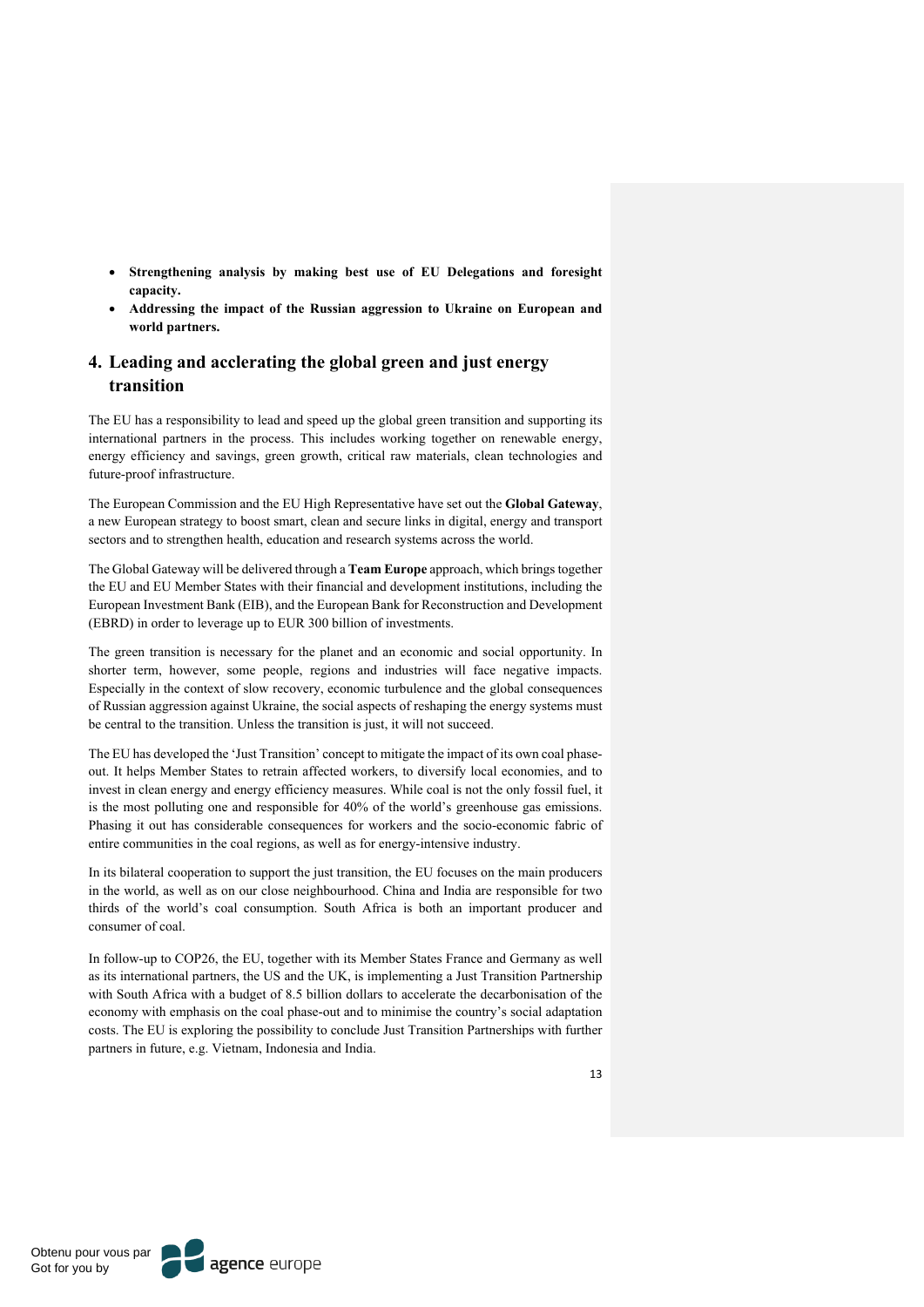- **Strengthening analysis by making best use of EU Delegations and foresight capacity.**
- **Addressing the impact of the Russian aggression to Ukraine on European and world partners.**

## **4. Leading and acclerating the global green and just energy transition**

The EU has a responsibility to lead and speed up the global green transition and supporting its international partners in the process. This includes working together on renewable energy, energy efficiency and savings, green growth, critical raw materials, clean technologies and future-proof infrastructure.

The European Commission and the EU High Representative have set out the **Global Gateway**, a new European strategy to boost smart, clean and secure links in digital, energy and transport sectors and to strengthen health, education and research systems across the world.

The Global Gateway will be delivered through a **Team Europe** approach, which brings together the EU and EU Member States with their financial and development institutions, including the European Investment Bank (EIB), and the European Bank for Reconstruction and Development (EBRD) in order to leverage up to EUR 300 billion of investments.

The green transition is necessary for the planet and an economic and social opportunity. In shorter term, however, some people, regions and industries will face negative impacts. Especially in the context of slow recovery, economic turbulence and the global consequences of Russian aggression against Ukraine, the social aspects of reshaping the energy systems must be central to the transition. Unless the transition is just, it will not succeed.

The EU has developed the 'Just Transition' concept to mitigate the impact of its own coal phaseout. It helps Member States to retrain affected workers, to diversify local economies, and to invest in clean energy and energy efficiency measures. While coal is not the only fossil fuel, it is the most polluting one and responsible for 40% of the world's greenhouse gas emissions. Phasing it out has considerable consequences for workers and the socio-economic fabric of entire communities in the coal regions, as well as for energy-intensive industry.

In its bilateral cooperation to support the just transition, the EU focuses on the main producers in the world, as well as on our close neighbourhood. China and India are responsible for two thirds of the world's coal consumption. South Africa is both an important producer and consumer of coal.

In follow-up to COP26, the EU, together with its Member States France and Germany as well as its international partners, the US and the UK, is implementing a Just Transition Partnership with South Africa with a budget of 8.5 billion dollars to accelerate the decarbonisation of the economy with emphasis on the coal phase-out and to minimise the country's social adaptation costs. The EU is exploring the possibility to conclude Just Transition Partnerships with further partners in future, e.g. Vietnam, Indonesia and India.

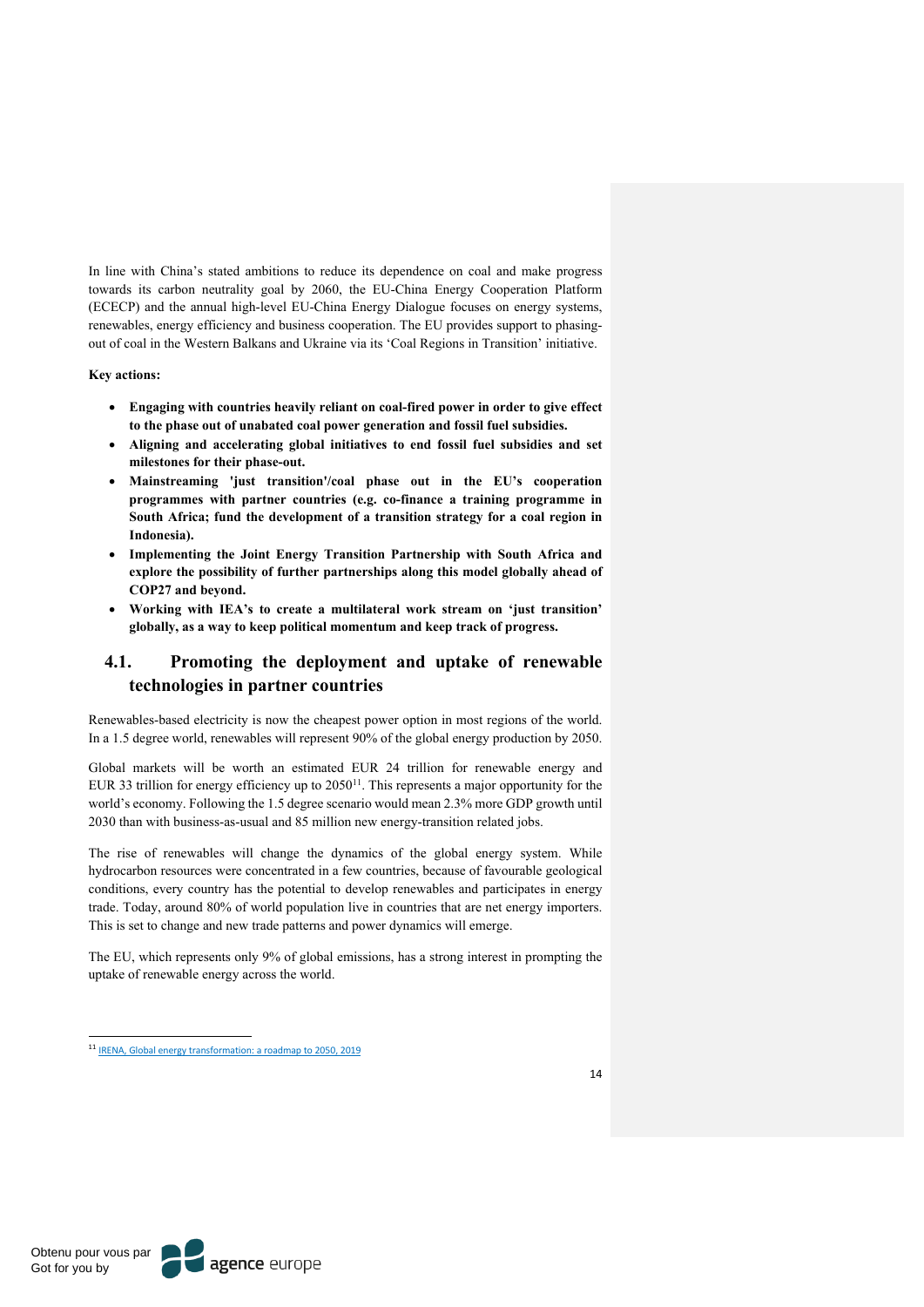In line with China's stated ambitions to reduce its dependence on coal and make progress towards its carbon neutrality goal by 2060, the EU-China Energy Cooperation Platform (ECECP) and the annual high-level EU-China Energy Dialogue focuses on energy systems, renewables, energy efficiency and business cooperation. The EU provides support to phasingout of coal in the Western Balkans and Ukraine via its 'Coal Regions in Transition' initiative.

**Key actions:**

- **Engaging with countries heavily reliant on coal-fired power in order to give effect to the phase out of unabated coal power generation and fossil fuel subsidies.**
- **Aligning and accelerating global initiatives to end fossil fuel subsidies and set milestones for their phase-out.**
- **Mainstreaming 'just transition'/coal phase out in the EU's cooperation programmes with partner countries (e.g. co-finance a training programme in South Africa; fund the development of a transition strategy for a coal region in Indonesia).**
- **Implementing the Joint Energy Transition Partnership with South Africa and explore the possibility of further partnerships along this model globally ahead of COP27 and beyond.**
- **Working with IEA's to create a multilateral work stream on 'just transition' globally, as a way to keep political momentum and keep track of progress.**

## **4.1. Promoting the deployment and uptake of renewable technologies in partner countries**

Renewables-based electricity is now the cheapest power option in most regions of the world. In a 1.5 degree world, renewables will represent 90% of the global energy production by 2050.

Global markets will be worth an estimated EUR 24 trillion for renewable energy and EUR 33 trillion for energy efficiency up to 2050<sup>11</sup>. This represents a major opportunity for the world's economy. Following the 1.5 degree scenario would mean 2.3% more GDP growth until 2030 than with business-as-usual and 85 million new energy-transition related jobs.

The rise of renewables will change the dynamics of the global energy system. While hydrocarbon resources were concentrated in a few countries, because of favourable geological conditions, every country has the potential to develop renewables and participates in energy trade. Today, around 80% of world population live in countries that are net energy importers. This is set to change and new trade patterns and power dynamics will emerge.

The EU, which represents only 9% of global emissions, has a strong interest in prompting the uptake of renewable energy across the world.

<sup>11</sup> IRENA, Global energy transformation: a roadmap to 2050, 2019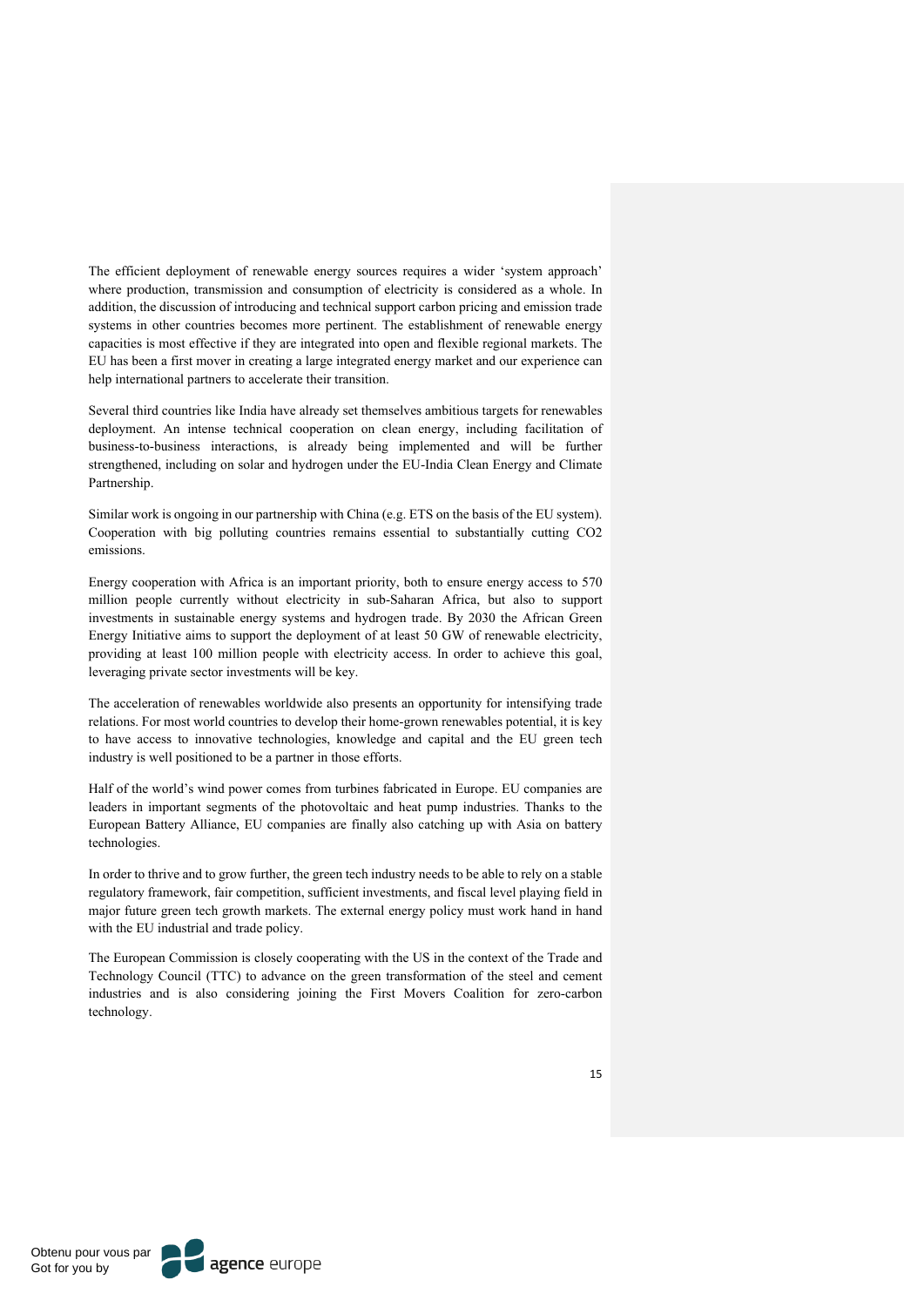The efficient deployment of renewable energy sources requires a wider 'system approach' where production, transmission and consumption of electricity is considered as a whole. In addition, the discussion of introducing and technical support carbon pricing and emission trade systems in other countries becomes more pertinent. The establishment of renewable energy capacities is most effective if they are integrated into open and flexible regional markets. The EU has been a first mover in creating a large integrated energy market and our experience can help international partners to accelerate their transition.

Several third countries like India have already set themselves ambitious targets for renewables deployment. An intense technical cooperation on clean energy, including facilitation of business-to-business interactions, is already being implemented and will be further strengthened, including on solar and hydrogen under the EU-India Clean Energy and Climate Partnership.

Similar work is ongoing in our partnership with China (e.g. ETS on the basis of the EU system). Cooperation with big polluting countries remains essential to substantially cutting CO2 emissions.

Energy cooperation with Africa is an important priority, both to ensure energy access to 570 million people currently without electricity in sub-Saharan Africa, but also to support investments in sustainable energy systems and hydrogen trade. By 2030 the African Green Energy Initiative aims to support the deployment of at least 50 GW of renewable electricity, providing at least 100 million people with electricity access. In order to achieve this goal, leveraging private sector investments will be key.

The acceleration of renewables worldwide also presents an opportunity for intensifying trade relations. For most world countries to develop their home-grown renewables potential, it is key to have access to innovative technologies, knowledge and capital and the EU green tech industry is well positioned to be a partner in those efforts.

Half of the world's wind power comes from turbines fabricated in Europe. EU companies are leaders in important segments of the photovoltaic and heat pump industries. Thanks to the European Battery Alliance, EU companies are finally also catching up with Asia on battery technologies.

In order to thrive and to grow further, the green tech industry needs to be able to rely on a stable regulatory framework, fair competition, sufficient investments, and fiscal level playing field in major future green tech growth markets. The external energy policy must work hand in hand with the EU industrial and trade policy.

The European Commission is closely cooperating with the US in the context of the Trade and Technology Council (TTC) to advance on the green transformation of the steel and cement industries and is also considering joining the First Movers Coalition for zero-carbon technology.

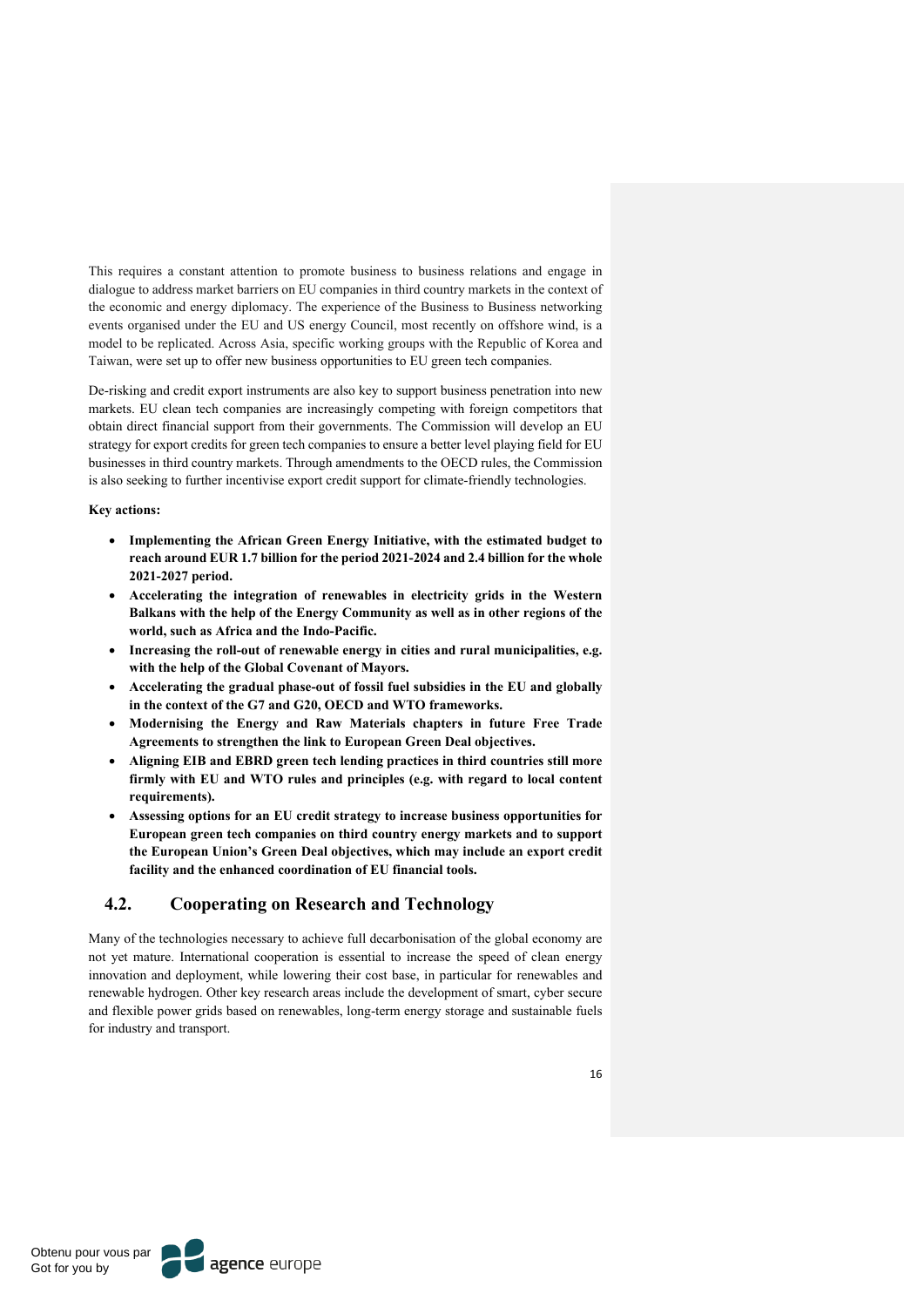This requires a constant attention to promote business to business relations and engage in dialogue to address market barriers on EU companies in third country markets in the context of the economic and energy diplomacy. The experience of the Business to Business networking events organised under the EU and US energy Council, most recently on offshore wind, is a model to be replicated. Across Asia, specific working groups with the Republic of Korea and Taiwan, were set up to offer new business opportunities to EU green tech companies.

De-risking and credit export instruments are also key to support business penetration into new markets. EU clean tech companies are increasingly competing with foreign competitors that obtain direct financial support from their governments. The Commission will develop an EU strategy for export credits for green tech companies to ensure a better level playing field for EU businesses in third country markets. Through amendments to the OECD rules, the Commission is also seeking to further incentivise export credit support for climate-friendly technologies.

#### **Key actions:**

- **Implementing the African Green Energy Initiative, with the estimated budget to reach around EUR 1.7 billion for the period 2021-2024 and 2.4 billion for the whole 2021-2027 period.**
- **Accelerating the integration of renewables in electricity grids in the Western Balkans with the help of the Energy Community as well as in other regions of the world, such as Africa and the Indo-Pacific.**
- **Increasing the roll-out of renewable energy in cities and rural municipalities, e.g. with the help of the Global Covenant of Mayors.**
- **Accelerating the gradual phase-out of fossil fuel subsidies in the EU and globally in the context of the G7 and G20, OECD and WTO frameworks.**
- **Modernising the Energy and Raw Materials chapters in future Free Trade Agreements to strengthen the link to European Green Deal objectives.**
- **Aligning EIB and EBRD green tech lending practices in third countries still more firmly with EU and WTO rules and principles (e.g. with regard to local content requirements).**
- **Assessing options for an EU credit strategy to increase business opportunities for European green tech companies on third country energy markets and to support the European Union's Green Deal objectives, which may include an export credit facility and the enhanced coordination of EU financial tools.**

## **4.2. Cooperating on Research and Technology**

Many of the technologies necessary to achieve full decarbonisation of the global economy are not yet mature. International cooperation is essential to increase the speed of clean energy innovation and deployment, while lowering their cost base, in particular for renewables and renewable hydrogen. Other key research areas include the development of smart, cyber secure and flexible power grids based on renewables, long-term energy storage and sustainable fuels for industry and transport.

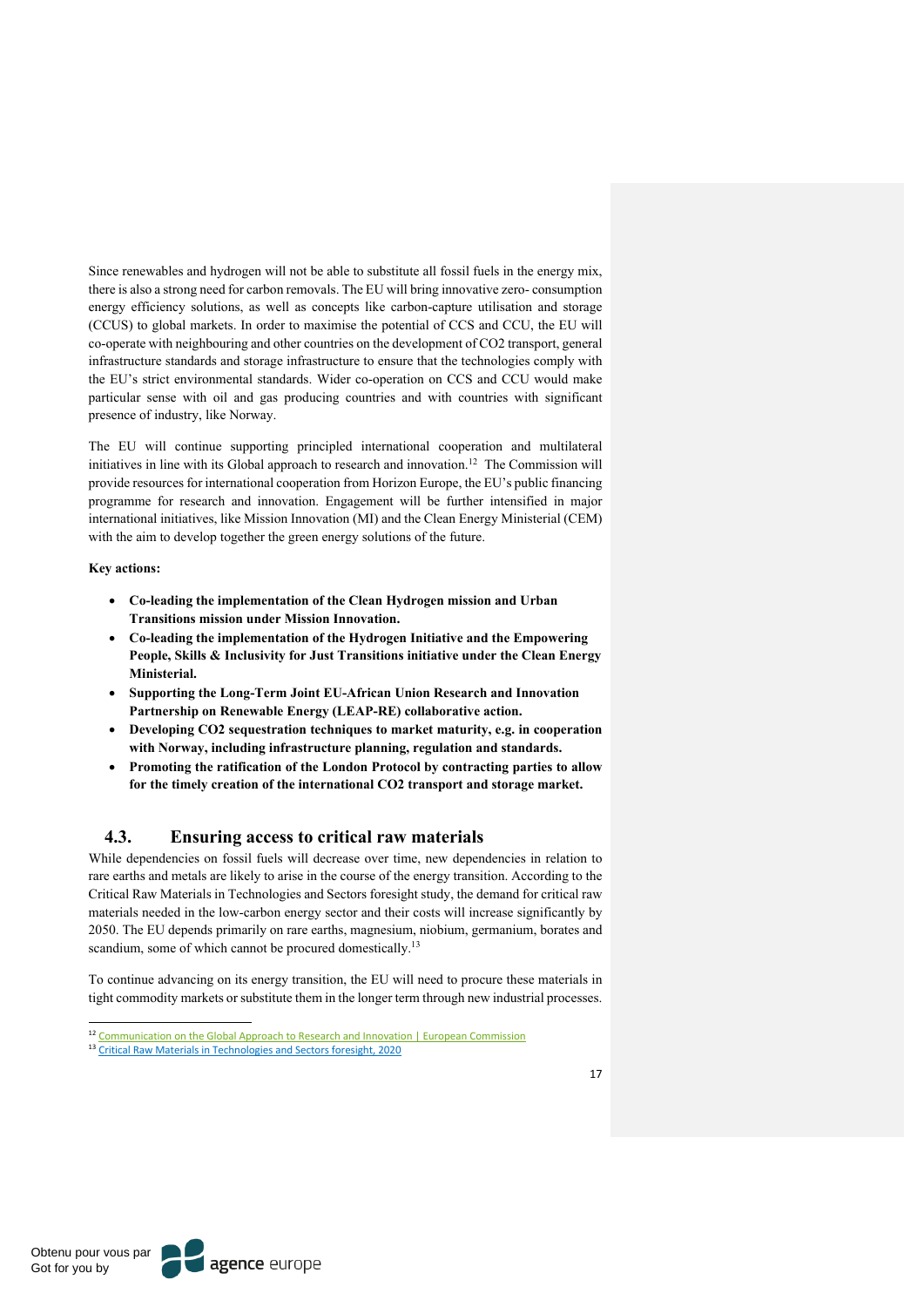Since renewables and hydrogen will not be able to substitute all fossil fuels in the energy mix, there is also a strong need for carbon removals. The EU will bring innovative zero- consumption energy efficiency solutions, as well as concepts like carbon-capture utilisation and storage (CCUS) to global markets. In order to maximise the potential of CCS and CCU, the EU will co-operate with neighbouring and other countries on the development of CO2 transport, general infrastructure standards and storage infrastructure to ensure that the technologies comply with the EU's strict environmental standards. Wider co-operation on CCS and CCU would make particular sense with oil and gas producing countries and with countries with significant presence of industry, like Norway.

The EU will continue supporting principled international cooperation and multilateral initiatives in line with its Global approach to research and innovation.<sup>12</sup> The Commission will provide resources for international cooperation from Horizon Europe, the EU's public financing programme for research and innovation. Engagement will be further intensified in major international initiatives, like Mission Innovation (MI) and the Clean Energy Ministerial (CEM) with the aim to develop together the green energy solutions of the future.

#### **Key actions:**

- **Co-leading the implementation of the Clean Hydrogen mission and Urban Transitions mission under Mission Innovation.**
- **Co-leading the implementation of the Hydrogen Initiative and the Empowering People, Skills & Inclusivity for Just Transitions initiative under the Clean Energy Ministerial.**
- **Supporting the Long-Term Joint EU-African Union Research and Innovation Partnership on Renewable Energy (LEAP-RE) collaborative action.**
- **Developing CO2 sequestration techniques to market maturity, e.g. in cooperation with Norway, including infrastructure planning, regulation and standards.**
- **Promoting the ratification of the London Protocol by contracting parties to allow for the timely creation of the international CO2 transport and storage market.**

## **4.3. Ensuring access to critical raw materials**

While dependencies on fossil fuels will decrease over time, new dependencies in relation to rare earths and metals are likely to arise in the course of the energy transition. According to the Critical Raw Materials in Technologies and Sectors foresight study, the demand for critical raw materials needed in the low-carbon energy sector and their costs will increase significantly by 2050. The EU depends primarily on rare earths, magnesium, niobium, germanium, borates and scandium, some of which cannot be procured domestically.<sup>13</sup>

To continue advancing on its energy transition, the EU will need to procure these materials in tight commodity markets or substitute them in the longer term through new industrial processes.

<sup>&</sup>lt;sup>12</sup> Communication on the Global Approach to Research and Innovation | European Commission

<sup>&</sup>lt;sup>13</sup> Critical Raw Materials in Technologies and Sectors foresight, 2020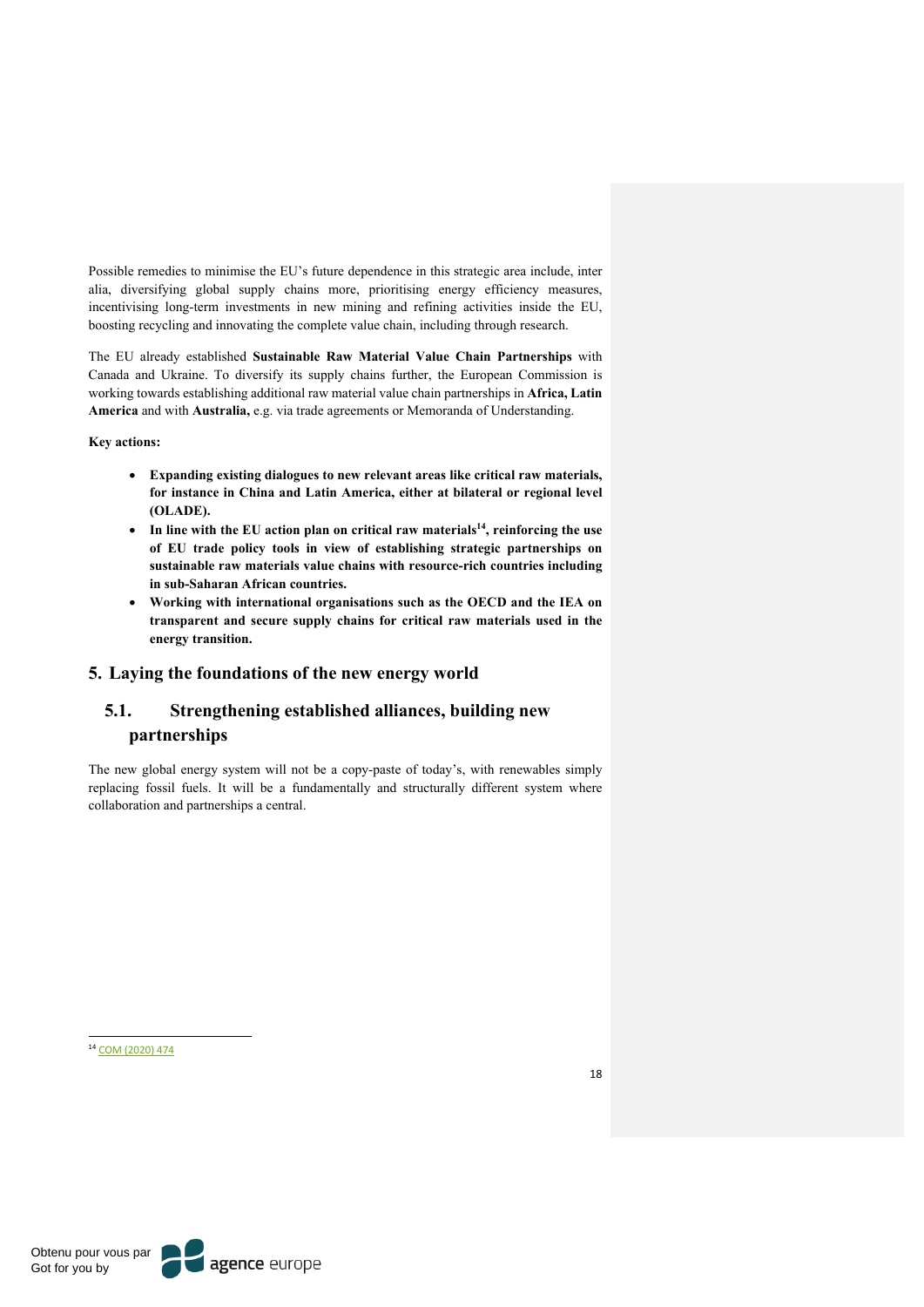Possible remedies to minimise the EU's future dependence in this strategic area include, inter alia, diversifying global supply chains more, prioritising energy efficiency measures, incentivising long-term investments in new mining and refining activities inside the EU, boosting recycling and innovating the complete value chain, including through research.

The EU already established **Sustainable Raw Material Value Chain Partnerships** with Canada and Ukraine. To diversify its supply chains further, the European Commission is working towards establishing additional raw material value chain partnerships in **Africa, Latin America** and with **Australia,** e.g. via trade agreements or Memoranda of Understanding.

**Key actions:**

- **Expanding existing dialogues to new relevant areas like critical raw materials, for instance in China and Latin America, either at bilateral or regional level (OLADE).**
- **In line with the EU action plan on critical raw materials14, reinforcing the use of EU trade policy tools in view of establishing strategic partnerships on sustainable raw materials value chains with resource-rich countries including in sub-Saharan African countries.**
- **Working with international organisations such as the OECD and the IEA on transparent and secure supply chains for critical raw materials used in the energy transition.**

## **5. Laying the foundations of the new energy world**

# **5.1. Strengthening established alliances, building new partnerships**

The new global energy system will not be a copy-paste of today's, with renewables simply replacing fossil fuels. It will be a fundamentally and structurally different system where collaboration and partnerships a central.

<sup>14</sup> COM (2020) 474

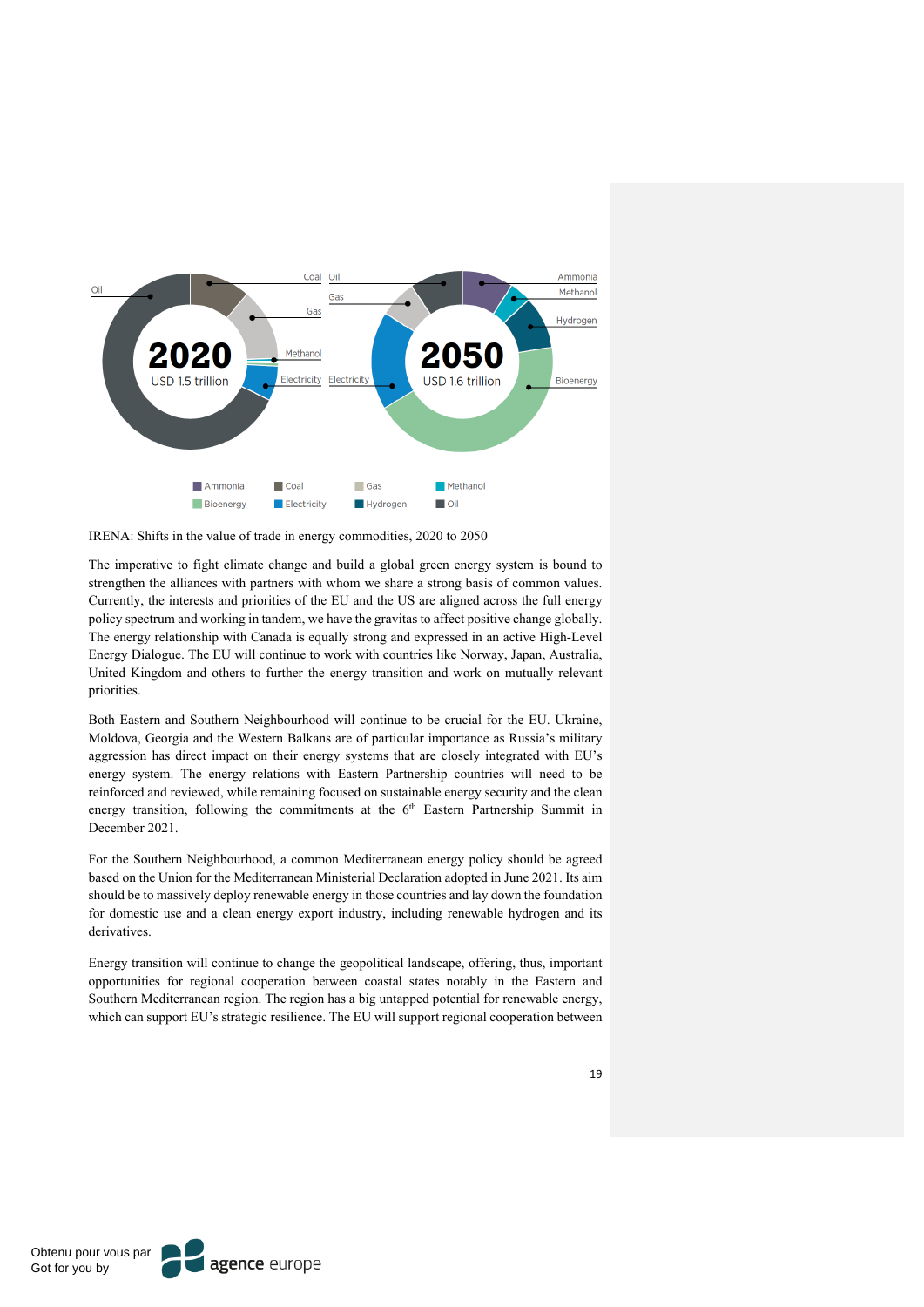

IRENA: Shifts in the value of trade in energy commodities, 2020 to 2050

The imperative to fight climate change and build a global green energy system is bound to strengthen the alliances with partners with whom we share a strong basis of common values. Currently, the interests and priorities of the EU and the US are aligned across the full energy policy spectrum and working in tandem, we have the gravitas to affect positive change globally. The energy relationship with Canada is equally strong and expressed in an active High-Level Energy Dialogue. The EU will continue to work with countries like Norway, Japan, Australia, United Kingdom and others to further the energy transition and work on mutually relevant priorities.

Both Eastern and Southern Neighbourhood will continue to be crucial for the EU. Ukraine, Moldova, Georgia and the Western Balkans are of particular importance as Russia's military aggression has direct impact on their energy systems that are closely integrated with EU's energy system. The energy relations with Eastern Partnership countries will need to be reinforced and reviewed, while remaining focused on sustainable energy security and the clean energy transition, following the commitments at the 6<sup>th</sup> Eastern Partnership Summit in December 2021.

For the Southern Neighbourhood, a common Mediterranean energy policy should be agreed based on the Union for the Mediterranean Ministerial Declaration adopted in June 2021. Its aim should be to massively deploy renewable energy in those countries and lay down the foundation for domestic use and a clean energy export industry, including renewable hydrogen and its derivatives.

Energy transition will continue to change the geopolitical landscape, offering, thus, important opportunities for regional cooperation between coastal states notably in the Eastern and Southern Mediterranean region. The region has a big untapped potential for renewable energy, which can support EU's strategic resilience. The EU will support regional cooperation between

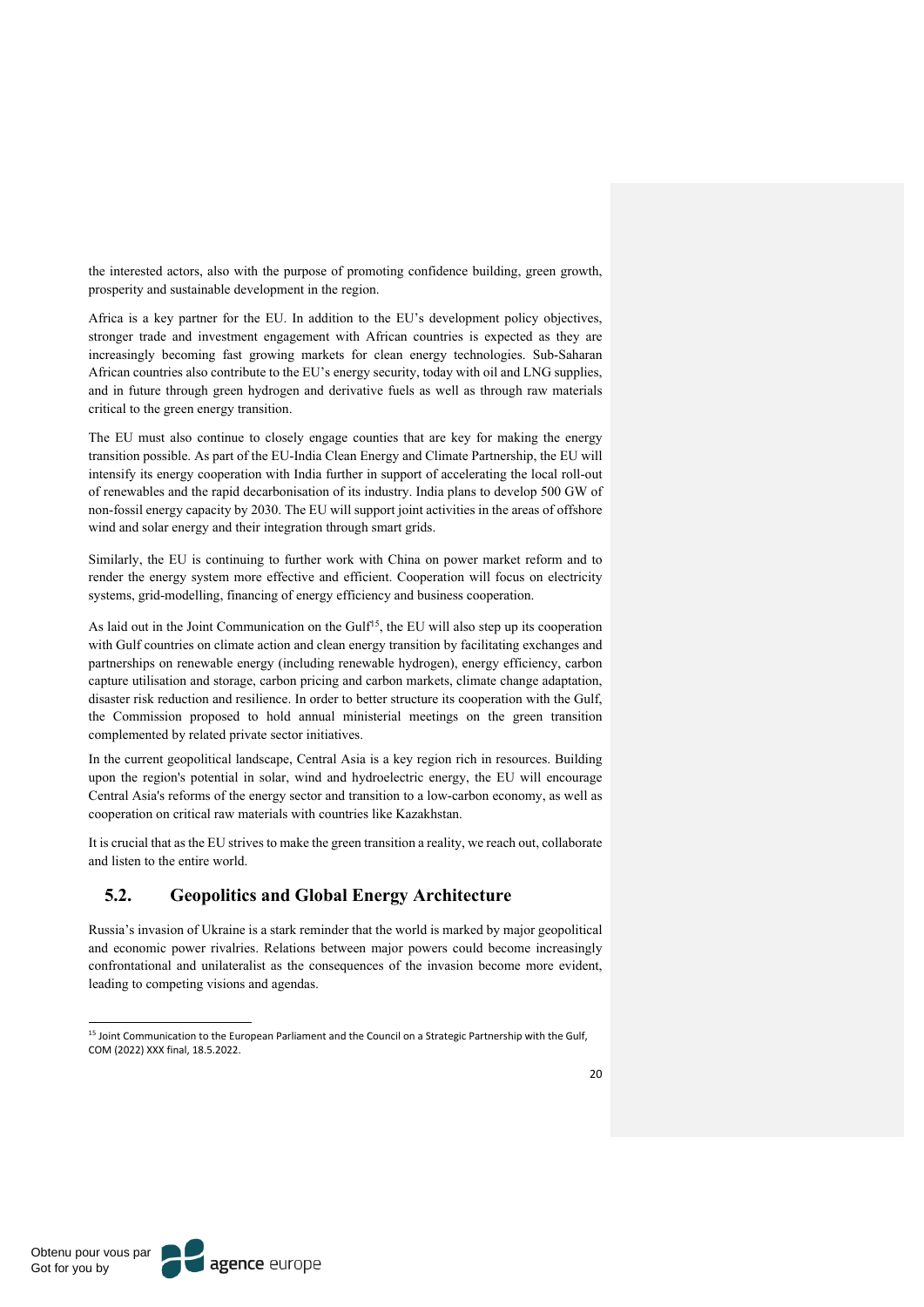the interested actors, also with the purpose of promoting confidence building, green growth, prosperity and sustainable development in the region.

Africa is a key partner for the EU. In addition to the EU's development policy objectives, stronger trade and investment engagement with African countries is expected as they are increasingly becoming fast growing markets for clean energy technologies. Sub-Saharan African countries also contribute to the EU's energy security, today with oil and LNG supplies, and in future through green hydrogen and derivative fuels as well as through raw materials critical to the green energy transition.

The EU must also continue to closely engage counties that are key for making the energy transition possible. As part of the EU-India Clean Energy and Climate Partnership, the EU will intensify its energy cooperation with India further in support of accelerating the local roll-out of renewables and the rapid decarbonisation of its industry. India plans to develop 500 GW of non-fossil energy capacity by 2030. The EU will support joint activities in the areas of offshore wind and solar energy and their integration through smart grids.

Similarly, the EU is continuing to further work with China on power market reform and to render the energy system more effective and efficient. Cooperation will focus on electricity systems, grid-modelling, financing of energy efficiency and business cooperation.

As laid out in the Joint Communication on the Gulf<sup>15</sup>, the EU will also step up its cooperation with Gulf countries on climate action and clean energy transition by facilitating exchanges and partnerships on renewable energy (including renewable hydrogen), energy efficiency, carbon capture utilisation and storage, carbon pricing and carbon markets, climate change adaptation, disaster risk reduction and resilience. In order to better structure its cooperation with the Gulf, the Commission proposed to hold annual ministerial meetings on the green transition complemented by related private sector initiatives.

In the current geopolitical landscape, Central Asia is a key region rich in resources. Building upon the region's potential in solar, wind and hydroelectric energy, the EU will encourage Central Asia's reforms of the energy sector and transition to a low-carbon economy, as well as cooperation on critical raw materials with countries like Kazakhstan.

It is crucial that as the EU strives to make the green transition a reality, we reach out, collaborate and listen to the entire world.

## **5.2. Geopolitics and Global Energy Architecture**

Russia's invasion of Ukraine is a stark reminder that the world is marked by major geopolitical and economic power rivalries. Relations between major powers could become increasingly confrontational and unilateralist as the consequences of the invasion become more evident, leading to competing visions and agendas.



<sup>&</sup>lt;sup>15</sup> Joint Communication to the European Parliament and the Council on a Strategic Partnership with the Gulf, COM (2022) XXX final, 18.5.2022.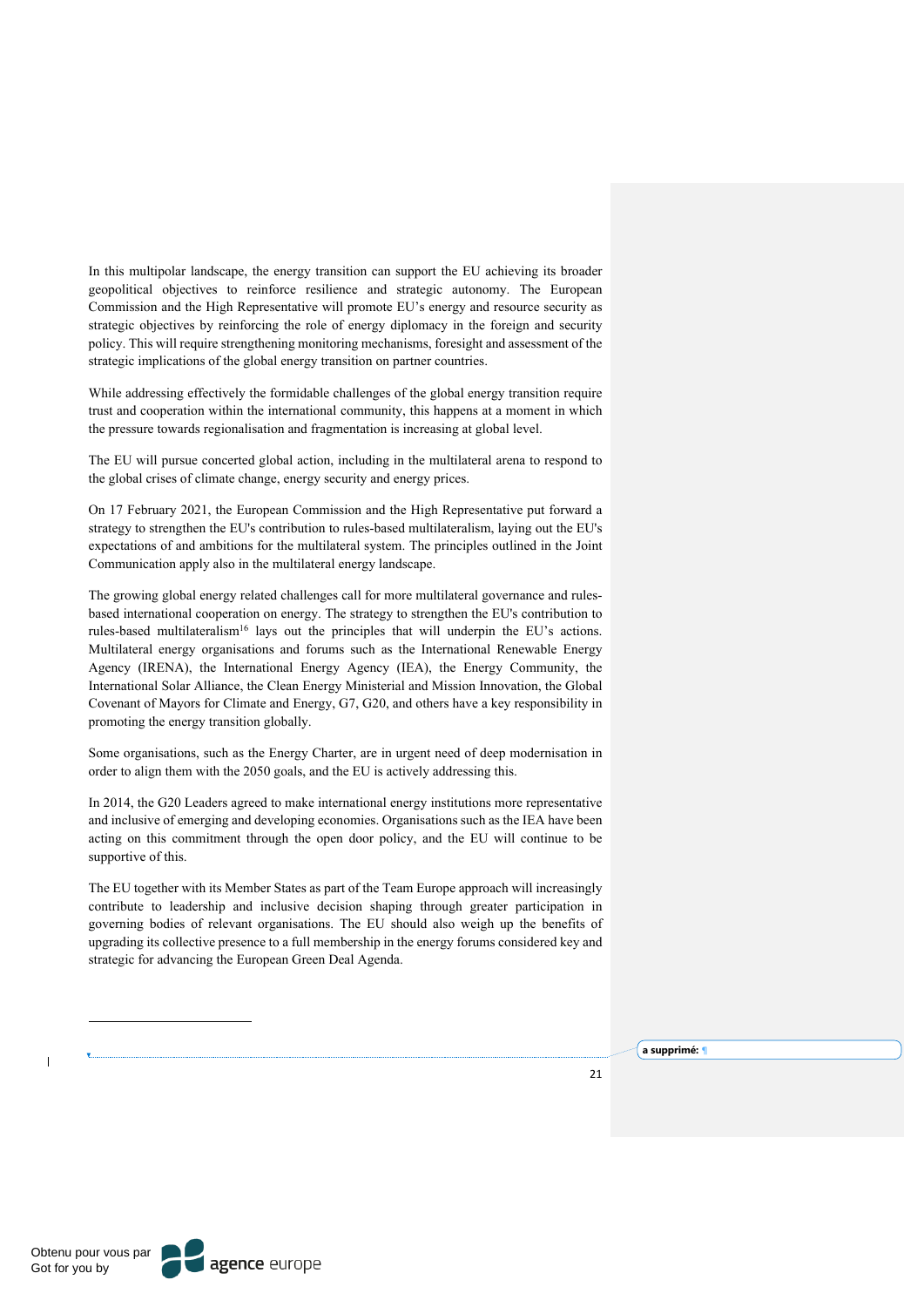In this multipolar landscape, the energy transition can support the EU achieving its broader geopolitical objectives to reinforce resilience and strategic autonomy. The European Commission and the High Representative will promote EU's energy and resource security as strategic objectives by reinforcing the role of energy diplomacy in the foreign and security policy. This will require strengthening monitoring mechanisms, foresight and assessment of the strategic implications of the global energy transition on partner countries.

While addressing effectively the formidable challenges of the global energy transition require trust and cooperation within the international community, this happens at a moment in which the pressure towards regionalisation and fragmentation is increasing at global level.

The EU will pursue concerted global action, including in the multilateral arena to respond to the global crises of climate change, energy security and energy prices.

On 17 February 2021, the European Commission and the High Representative put forward a strategy to strengthen the EU's contribution to rules-based multilateralism, laying out the EU's expectations of and ambitions for the multilateral system. The principles outlined in the Joint Communication apply also in the multilateral energy landscape.

The growing global energy related challenges call for more multilateral governance and rulesbased international cooperation on energy. The strategy to strengthen the EU's contribution to rules-based multilateralism16 lays out the principles that will underpin the EU's actions. Multilateral energy organisations and forums such as the International Renewable Energy Agency (IRENA), the International Energy Agency (IEA), the Energy Community, the International Solar Alliance, the Clean Energy Ministerial and Mission Innovation, the Global Covenant of Mayors for Climate and Energy, G7, G20, and others have a key responsibility in promoting the energy transition globally.

Some organisations, such as the Energy Charter, are in urgent need of deep modernisation in order to align them with the 2050 goals, and the EU is actively addressing this.

In 2014, the G20 Leaders agreed to make international energy institutions more representative and inclusive of emerging and developing economies. Organisations such as the IEA have been acting on this commitment through the open door policy, and the EU will continue to be supportive of this.

The EU together with its Member States as part of the Team Europe approach will increasingly contribute to leadership and inclusive decision shaping through greater participation in governing bodies of relevant organisations. The EU should also weigh up the benefits of upgrading its collective presence to a full membership in the energy forums considered key and strategic for advancing the European Green Deal Agenda.

**a supprimé:** ¶

 $21$